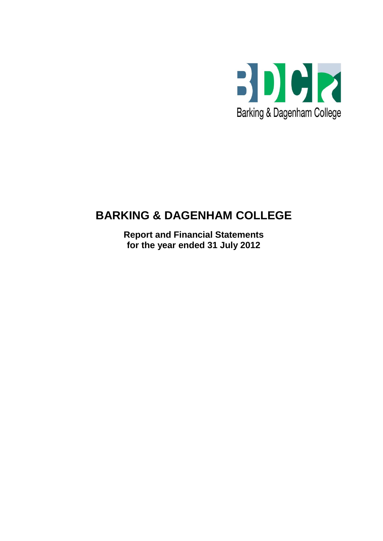

# **BARKING & DAGENHAM COLLEGE**

**Report and Financial Statements for the year ended 31 July 2012**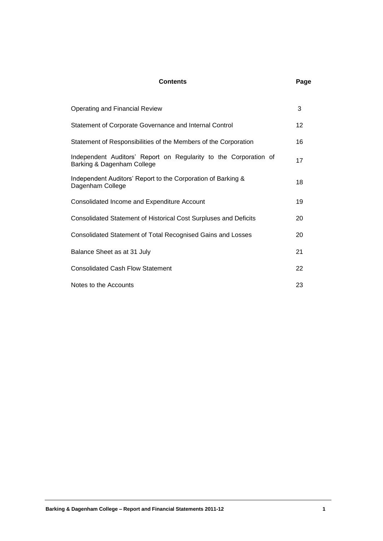### **Contents Page**

| <b>Operating and Financial Review</b>                                                          | 3               |
|------------------------------------------------------------------------------------------------|-----------------|
| Statement of Corporate Governance and Internal Control                                         | 12 <sup>°</sup> |
| Statement of Responsibilities of the Members of the Corporation                                | 16              |
| Independent Auditors' Report on Regularity to the Corporation of<br>Barking & Dagenham College | 17              |
| Independent Auditors' Report to the Corporation of Barking &<br>Dagenham College               | 18              |
| Consolidated Income and Expenditure Account                                                    | 19              |
| Consolidated Statement of Historical Cost Surpluses and Deficits                               | 20              |
| Consolidated Statement of Total Recognised Gains and Losses                                    | 20              |
| Balance Sheet as at 31 July                                                                    | 21              |
| <b>Consolidated Cash Flow Statement</b>                                                        | 22              |
| Notes to the Accounts                                                                          | 23              |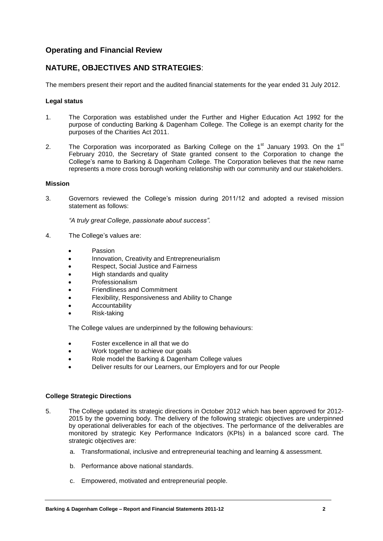## **Operating and Financial Review**

# **NATURE, OBJECTIVES AND STRATEGIES**:

The members present their report and the audited financial statements for the year ended 31 July 2012.

#### **Legal status**

- 1. The Corporation was established under the Further and Higher Education Act 1992 for the purpose of conducting Barking & Dagenham College. The College is an exempt charity for the purposes of the Charities Act 2011.
- 2. The Corporation was incorporated as Barking College on the 1<sup>st</sup> January 1993. On the 1<sup>st</sup> February 2010, the Secretary of State granted consent to the Corporation to change the College's name to Barking & Dagenham College. The Corporation believes that the new name represents a more cross borough working relationship with our community and our stakeholders.

#### **Mission**

3. Governors reviewed the College's mission during 2011/12 and adopted a revised mission statement as follows:

*"A truly great College, passionate about success".*

- 4. The College's values are:
	- Passion
	- Innovation, Creativity and Entrepreneurialism
	- Respect, Social Justice and Fairness
	- High standards and quality
	- Professionalism
	- Friendliness and Commitment
	- Flexibility, Responsiveness and Ability to Change
	- Accountability
	- Risk-taking

The College values are underpinned by the following behaviours:

- Foster excellence in all that we do
- Work together to achieve our goals
- Role model the Barking & Dagenham College values
- Deliver results for our Learners, our Employers and for our People

### **College Strategic Directions**

- 5. The College updated its strategic directions in October 2012 which has been approved for 2012- 2015 by the governing body. The delivery of the following strategic objectives are underpinned by operational deliverables for each of the objectives. The performance of the deliverables are monitored by strategic Key Performance Indicators (KPIs) in a balanced score card. The strategic objectives are:
	- a. Transformational, inclusive and entrepreneurial teaching and learning & assessment.
	- b. Performance above national standards.
	- c. Empowered, motivated and entrepreneurial people.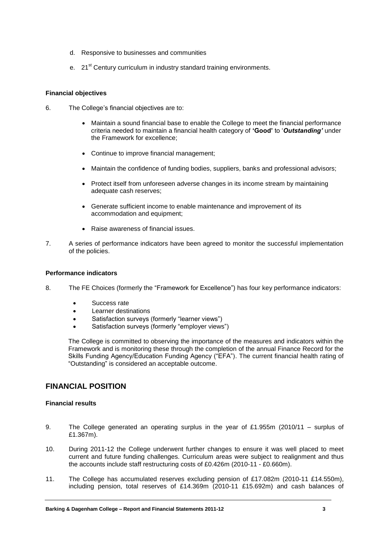- d. Responsive to businesses and communities
- e. 21<sup>st</sup> Century curriculum in industry standard training environments.

### **Financial objectives**

- 6. The College's financial objectives are to:
	- Maintain a sound financial base to enable the College to meet the financial performance criteria needed to maintain a financial health category of **'Good'** to '*Outstanding'* under the Framework for excellence;
	- Continue to improve financial management;
	- Maintain the confidence of funding bodies, suppliers, banks and professional advisors;
	- Protect itself from unforeseen adverse changes in its income stream by maintaining adequate cash reserves;
	- Generate sufficient income to enable maintenance and improvement of its accommodation and equipment;
	- Raise awareness of financial issues.
- 7. A series of performance indicators have been agreed to monitor the successful implementation of the policies.

### **Performance indicators**

- 8. The FE Choices (formerly the "Framework for Excellence") has four key performance indicators:
	- Success rate
	- **•** Learner destinations
	- Satisfaction surveys (formerly "learner views")
	- Satisfaction surveys (formerly "employer views")

The College is committed to observing the importance of the measures and indicators within the Framework and is monitoring these through the completion of the annual Finance Record for the Skills Funding Agency/Education Funding Agency ("EFA"). The current financial health rating of "Outstanding" is considered an acceptable outcome.

## **FINANCIAL POSITION**

### **Financial results**

- 9. The College generated an operating surplus in the year of £1.955m (2010/11 surplus of £1.367m).
- 10. During 2011-12 the College underwent further changes to ensure it was well placed to meet current and future funding challenges. Curriculum areas were subject to realignment and thus the accounts include staff restructuring costs of £0.426m (2010-11 - £0.660m).
- 11. The College has accumulated reserves excluding pension of £17.082m (2010-11 £14.550m), including pension, total reserves of £14.369m (2010-11 £15.692m) and cash balances of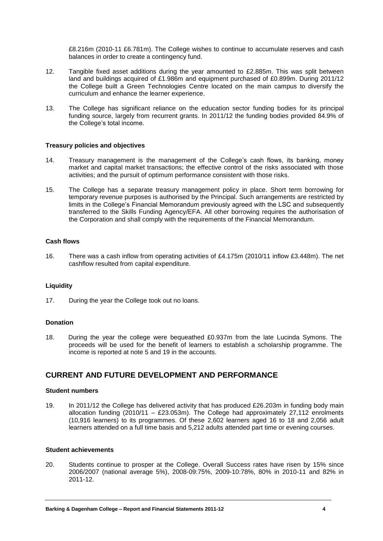£8.216m (2010-11 £6.781m). The College wishes to continue to accumulate reserves and cash balances in order to create a contingency fund.

- 12. Tangible fixed asset additions during the year amounted to £2.885m. This was split between land and buildings acquired of £1.986m and equipment purchased of £0.899m. During 2011/12 the College built a Green Technologies Centre located on the main campus to diversify the curriculum and enhance the learner experience.
- 13. The College has significant reliance on the education sector funding bodies for its principal funding source, largely from recurrent grants. In 2011/12 the funding bodies provided 84.9% of the College's total income.

#### **Treasury policies and objectives**

- 14. Treasury management is the management of the College's cash flows, its banking, money market and capital market transactions; the effective control of the risks associated with those activities; and the pursuit of optimum performance consistent with those risks.
- 15. The College has a separate treasury management policy in place. Short term borrowing for temporary revenue purposes is authorised by the Principal. Such arrangements are restricted by limits in the College's Financial Memorandum previously agreed with the LSC and subsequently transferred to the Skills Funding Agency/EFA. All other borrowing requires the authorisation of the Corporation and shall comply with the requirements of the Financial Memorandum.

#### **Cash flows**

16. There was a cash inflow from operating activities of £4.175m (2010/11 inflow £3.448m). The net cashflow resulted from capital expenditure.

#### **Liquidity**

17. During the year the College took out no loans.

#### **Donation**

18. During the year the college were bequeathed £0.937m from the late Lucinda Symons. The proceeds will be used for the benefit of learners to establish a scholarship programme. The income is reported at note 5 and 19 in the accounts.

### **CURRENT AND FUTURE DEVELOPMENT AND PERFORMANCE**

#### **Student numbers**

19. In 2011/12 the College has delivered activity that has produced £26.203m in funding body main allocation funding  $(2010/11 - \text{\textsterling}23.053m)$ . The College had approximately 27,112 enrolments (10,916 learners) to its programmes. Of these 2,602 learners aged 16 to 18 and 2,056 adult learners attended on a full time basis and 5,212 adults attended part time or evening courses.

#### **Student achievements**

20. Students continue to prosper at the College. Overall Success rates have risen by 15% since 2006/2007 (national average 5%), 2008-09:75%, 2009-10:78%, 80% in 2010-11 and 82% in 2011-12.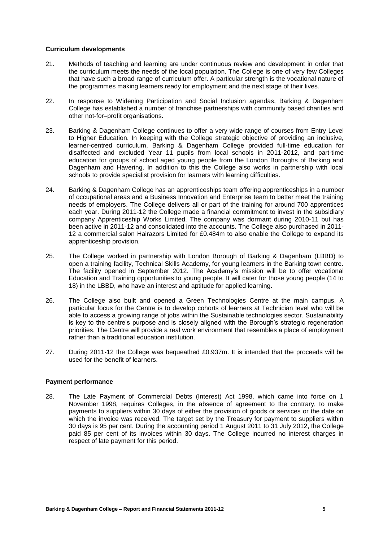#### **Curriculum developments**

- 21. Methods of teaching and learning are under continuous review and development in order that the curriculum meets the needs of the local population. The College is one of very few Colleges that have such a broad range of curriculum offer. A particular strength is the vocational nature of the programmes making learners ready for employment and the next stage of their lives.
- 22. In response to Widening Participation and Social Inclusion agendas, Barking & Dagenham College has established a number of franchise partnerships with community based charities and other not-for–profit organisations.
- 23. Barking & Dagenham College continues to offer a very wide range of courses from Entry Level to Higher Education. In keeping with the College strategic objective of providing an inclusive, learner-centred curriculum, Barking & Dagenham College provided full-time education for disaffected and excluded Year 11 pupils from local schools in 2011-2012, and part-time education for groups of school aged young people from the London Boroughs of Barking and Dagenham and Havering. In addition to this the College also works in partnership with local schools to provide specialist provision for learners with learning difficulties.
- 24. Barking & Dagenham College has an apprenticeships team offering apprenticeships in a number of occupational areas and a Business Innovation and Enterprise team to better meet the training needs of employers. The College delivers all or part of the training for around 700 apprentices each year. During 2011-12 the College made a financial commitment to invest in the subsidiary company Apprenticeship Works Limited. The company was dormant during 2010-11 but has been active in 2011-12 and consolidated into the accounts. The College also purchased in 2011- 12 a commercial salon Hairazors Limited for £0.484m to also enable the College to expand its apprenticeship provision.
- 25. The College worked in partnership with London Borough of Barking & Dagenham (LBBD) to open a training facility, Technical Skills Academy, for young learners in the Barking town centre. The facility opened in September 2012. The Academy's mission will be to offer vocational Education and Training opportunities to young people. It will cater for those young people (14 to 18) in the LBBD, who have an interest and aptitude for applied learning.
- 26. The College also built and opened a Green Technologies Centre at the main campus. A particular focus for the Centre is to develop cohorts of learners at Technician level who will be able to access a growing range of jobs within the Sustainable technologies sector. Sustainability is key to the centre's purpose and is closely aligned with the Borough's strategic regeneration priorities. The Centre will provide a real work environment that resembles a place of employment rather than a traditional education institution.
- 27. During 2011-12 the College was bequeathed £0.937m. It is intended that the proceeds will be used for the benefit of learners.

### **Payment performance**

28. The Late Payment of Commercial Debts (Interest) Act 1998, which came into force on 1 November 1998, requires Colleges, in the absence of agreement to the contrary, to make payments to suppliers within 30 days of either the provision of goods or services or the date on which the invoice was received. The target set by the Treasury for payment to suppliers within 30 days is 95 per cent. During the accounting period 1 August 2011 to 31 July 2012, the College paid 85 per cent of its invoices within 30 days. The College incurred no interest charges in respect of late payment for this period.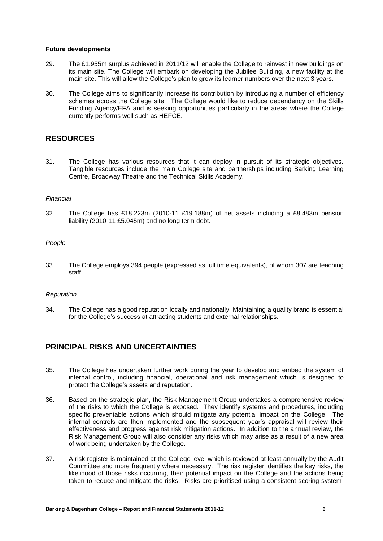#### **Future developments**

- 29. The £1.955m surplus achieved in 2011/12 will enable the College to reinvest in new buildings on its main site. The College will embark on developing the Jubilee Building, a new facility at the main site. This will allow the College's plan to grow its learner numbers over the next 3 years.
- 30. The College aims to significantly increase its contribution by introducing a number of efficiency schemes across the College site. The College would like to reduce dependency on the Skills Funding Agency/EFA and is seeking opportunities particularly in the areas where the College currently performs well such as HEFCE.

# **RESOURCES**

31. The College has various resources that it can deploy in pursuit of its strategic objectives. Tangible resources include the main College site and partnerships including Barking Learning Centre, Broadway Theatre and the Technical Skills Academy.

### *Financial*

32. The College has £18.223m (2010-11 £19.188m) of net assets including a £8.483m pension liability (2010-11 £5.045m) and no long term debt.

### *People*

33. The College employs 394 people (expressed as full time equivalents), of whom 307 are teaching staff.

### *Reputation*

34. The College has a good reputation locally and nationally. Maintaining a quality brand is essential for the College's success at attracting students and external relationships.

## **PRINCIPAL RISKS AND UNCERTAINTIES**

- 35. The College has undertaken further work during the year to develop and embed the system of internal control, including financial, operational and risk management which is designed to protect the College's assets and reputation.
- 36. Based on the strategic plan, the Risk Management Group undertakes a comprehensive review of the risks to which the College is exposed. They identify systems and procedures, including specific preventable actions which should mitigate any potential impact on the College. The internal controls are then implemented and the subsequent year's appraisal will review their effectiveness and progress against risk mitigation actions. In addition to the annual review, the Risk Management Group will also consider any risks which may arise as a result of a new area of work being undertaken by the College.
- 37. A risk register is maintained at the College level which is reviewed at least annually by the Audit Committee and more frequently where necessary. The risk register identifies the key risks, the likelihood of those risks occurring, their potential impact on the College and the actions being taken to reduce and mitigate the risks. Risks are prioritised using a consistent scoring system.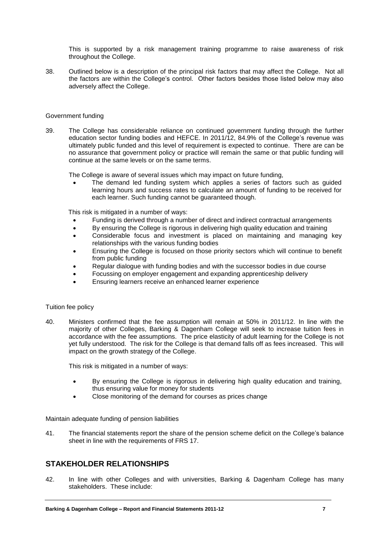This is supported by a risk management training programme to raise awareness of risk throughout the College.

38. Outlined below is a description of the principal risk factors that may affect the College. Not all the factors are within the College's control. Other factors besides those listed below may also adversely affect the College.

#### Government funding

39. The College has considerable reliance on continued government funding through the further education sector funding bodies and HEFCE. In 2011/12, 84.9% of the College's revenue was ultimately public funded and this level of requirement is expected to continue. There are can be no assurance that government policy or practice will remain the same or that public funding will continue at the same levels or on the same terms.

The College is aware of several issues which may impact on future funding,

 The demand led funding system which applies a series of factors such as guided learning hours and success rates to calculate an amount of funding to be received for each learner. Such funding cannot be guaranteed though.

This risk is mitigated in a number of ways:

- Funding is derived through a number of direct and indirect contractual arrangements
- By ensuring the College is rigorous in delivering high quality education and training
- Considerable focus and investment is placed on maintaining and managing key relationships with the various funding bodies
- Ensuring the College is focused on those priority sectors which will continue to benefit from public funding
- Regular dialogue with funding bodies and with the successor bodies in due course
- Focussing on employer engagement and expanding apprenticeship delivery
- Ensuring learners receive an enhanced learner experience

#### Tuition fee policy

40. Ministers confirmed that the fee assumption will remain at 50% in 2011/12. In line with the majority of other Colleges, Barking & Dagenham College will seek to increase tuition fees in accordance with the fee assumptions. The price elasticity of adult learning for the College is not yet fully understood. The risk for the College is that demand falls off as fees increased. This will impact on the growth strategy of the College.

This risk is mitigated in a number of ways:

- By ensuring the College is rigorous in delivering high quality education and training, thus ensuring value for money for students
- Close monitoring of the demand for courses as prices change

Maintain adequate funding of pension liabilities

41. The financial statements report the share of the pension scheme deficit on the College's balance sheet in line with the requirements of FRS 17.

### **STAKEHOLDER RELATIONSHIPS**

42. In line with other Colleges and with universities, Barking & Dagenham College has many stakeholders. These include: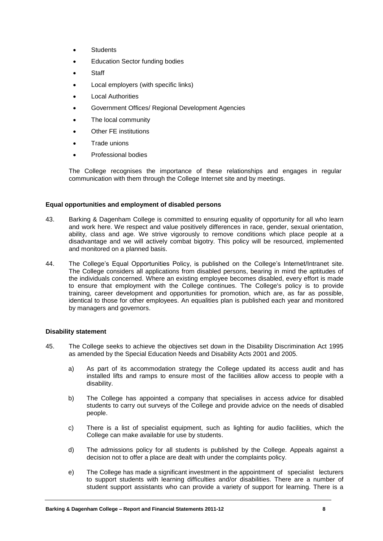- **Students**
- Education Sector funding bodies
- **Staff**
- Local employers (with specific links)
- Local Authorities
- Government Offices/ Regional Development Agencies
- The local community
- Other FE institutions
- Trade unions
- Professional bodies

The College recognises the importance of these relationships and engages in regular communication with them through the College Internet site and by meetings.

#### **Equal opportunities and employment of disabled persons**

- 43. Barking & Dagenham College is committed to ensuring equality of opportunity for all who learn and work here. We respect and value positively differences in race, gender, sexual orientation, ability, class and age. We strive vigorously to remove conditions which place people at a disadvantage and we will actively combat bigotry. This policy will be resourced, implemented and monitored on a planned basis.
- 44. The College's Equal Opportunities Policy, is published on the College's Internet/Intranet site. The College considers all applications from disabled persons, bearing in mind the aptitudes of the individuals concerned. Where an existing employee becomes disabled, every effort is made to ensure that employment with the College continues. The College's policy is to provide training, career development and opportunities for promotion, which are, as far as possible, identical to those for other employees. An equalities plan is published each year and monitored by managers and governors.

### **Disability statement**

- 45. The College seeks to achieve the objectives set down in the Disability Discrimination Act 1995 as amended by the Special Education Needs and Disability Acts 2001 and 2005.
	- a) As part of its accommodation strategy the College updated its access audit and has installed lifts and ramps to ensure most of the facilities allow access to people with a disability.
	- b) The College has appointed a company that specialises in access advice for disabled students to carry out surveys of the College and provide advice on the needs of disabled people.
	- c) There is a list of specialist equipment, such as lighting for audio facilities, which the College can make available for use by students.
	- d) The admissions policy for all students is published by the College. Appeals against a decision not to offer a place are dealt with under the complaints policy.
	- e) The College has made a significant investment in the appointment of specialist lecturers to support students with learning difficulties and/or disabilities. There are a number of student support assistants who can provide a variety of support for learning. There is a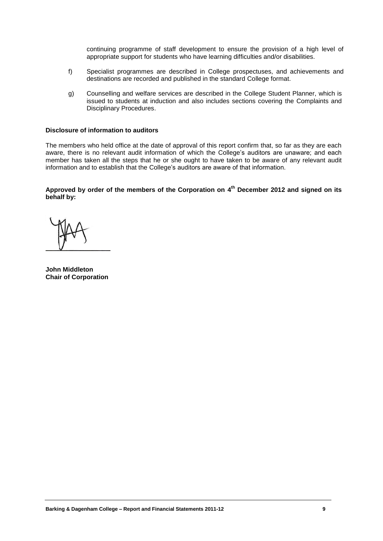continuing programme of staff development to ensure the provision of a high level of appropriate support for students who have learning difficulties and/or disabilities.

- f) Specialist programmes are described in College prospectuses, and achievements and destinations are recorded and published in the standard College format.
- g) Counselling and welfare services are described in the College Student Planner, which is issued to students at induction and also includes sections covering the Complaints and Disciplinary Procedures.

#### **Disclosure of information to auditors**

The members who held office at the date of approval of this report confirm that, so far as they are each aware, there is no relevant audit information of which the College"s auditors are unaware; and each member has taken all the steps that he or she ought to have taken to be aware of any relevant audit information and to establish that the College"s auditors are aware of that information.

**Approved by order of the members of the Corporation on 4th December 2012 and signed on its behalf by:** 

**John Middleton Chair of Corporation**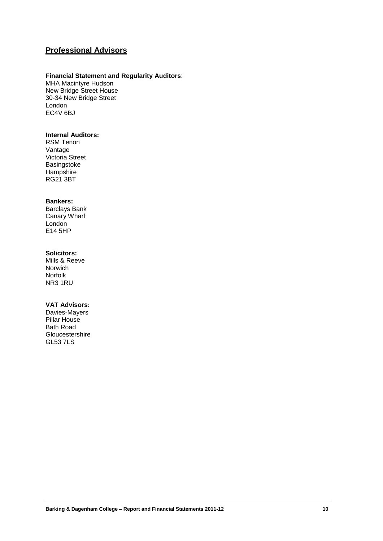# **Professional Advisors**

#### **Financial Statement and Regularity Auditors**:

MHA Macintyre Hudson New Bridge Street House 30-34 New Bridge Street London EC4V 6BJ

#### **Internal Auditors:**

RSM Tenon Vantage Victoria Street Basingstoke **Hampshire** RG21 3BT

#### **Bankers:**

Barclays Bank Canary Wharf London E14 5HP

#### **Solicitors:**

Mills & Reeve Norwich Norfolk NR3 1RU

#### **VAT Advisors:**

Davies-Mayers Pillar House Bath Road Gloucestershire GL53 7LS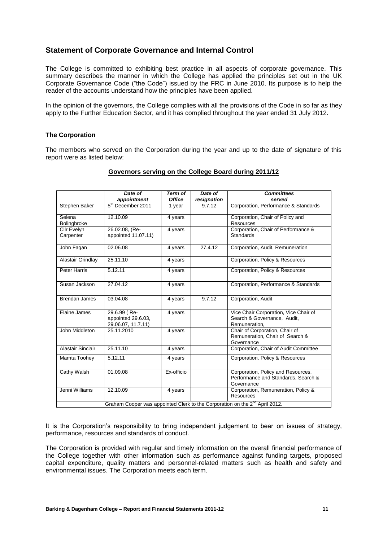# **Statement of Corporate Governance and Internal Control**

The College is committed to exhibiting best practice in all aspects of corporate governance. This summary describes the manner in which the College has applied the principles set out in the UK Corporate Governance Code ("the Code") issued by the FRC in June 2010. Its purpose is to help the reader of the accounts understand how the principles have been applied.

In the opinion of the governors, the College complies with all the provisions of the Code in so far as they apply to the Further Education Sector, and it has complied throughout the year ended 31 July 2012.

#### **The Corporation**

The members who served on the Corporation during the year and up to the date of signature of this report were as listed below:

|                          | Date of                                                  | <b>Term of</b> | Date of     | <b>Committees</b>                                                                       |
|--------------------------|----------------------------------------------------------|----------------|-------------|-----------------------------------------------------------------------------------------|
|                          | appointment                                              | <b>Office</b>  | resignation | served                                                                                  |
| Stephen Baker            | $5th$ December 2011                                      | 1 year         | 9.7.12      | Corporation, Performance & Standards                                                    |
| Selena<br>Bolingbroke    | 12.10.09                                                 | 4 years        |             | Corporation, Chair of Policy and<br><b>Resources</b>                                    |
| Cllr Evelyn<br>Carpenter | 26.02.08, (Re-<br>appointed 11.07.11)                    | 4 years        |             | Corporation, Chair of Performance &<br><b>Standards</b>                                 |
| John Fagan               | 02.06.08                                                 | 4 years        | 27.4.12     | Corporation, Audit, Remuneration                                                        |
| Alastair Grindlay        | 25.11.10                                                 | 4 years        |             | Corporation, Policy & Resources                                                         |
| <b>Peter Harris</b>      | 5.12.11                                                  | 4 years        |             | Corporation, Policy & Resources                                                         |
| Susan Jackson            | 27.04.12                                                 | 4 years        |             | Corporation, Performance & Standards                                                    |
| <b>Brendan James</b>     | 03.04.08                                                 | 4 years        | 9.7.12      | Corporation, Audit                                                                      |
| Elaine James             | 29.6.99 (Re-<br>appointed 29.6.03,<br>29.06.07, 11.7.11) | 4 years        |             | Vice Chair Corporation, Vice Chair of<br>Search & Governance, Audit,<br>Remuneration,   |
| John Middleton           | 25.11.2010                                               | 4 years        |             | Chair of Corporation, Chair of<br>Remuneration, Chair of Search &<br>Governance         |
| Alastair Sinclair        | 25.11.10                                                 | 4 years        |             | Corporation, Chair of Audit Committee                                                   |
| Mamta Toohey             | 5.12.11                                                  | 4 years        |             | Corporation, Policy & Resources                                                         |
| Cathy Walsh              | 01.09.08                                                 | Ex-officio     |             | Corporation, Policy and Resources,<br>Performance and Standards, Search &<br>Governance |
| Jenni Williams           | 12.10.09                                                 | 4 years        |             | Corporation, Remuneration, Policy &<br>Resources                                        |
|                          |                                                          |                |             | Graham Cooper was appointed Clerk to the Corporation on the 2 <sup>nd</sup> April 2012. |

#### **Governors serving on the College Board during 2011/12**

It is the Corporation's responsibility to bring independent judgement to bear on issues of strategy, performance, resources and standards of conduct.

The Corporation is provided with regular and timely information on the overall financial performance of the College together with other information such as performance against funding targets, proposed capital expenditure, quality matters and personnel-related matters such as health and safety and environmental issues. The Corporation meets each term.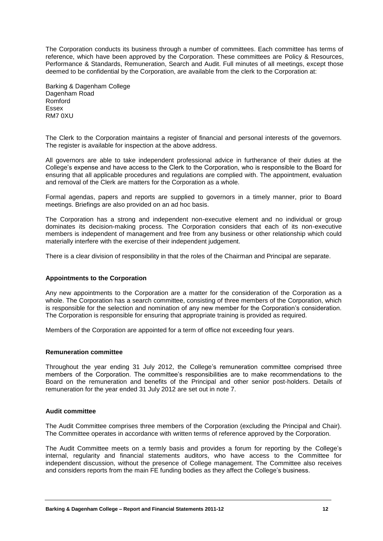The Corporation conducts its business through a number of committees. Each committee has terms of reference, which have been approved by the Corporation. These committees are Policy & Resources, Performance & Standards, Remuneration, Search and Audit. Full minutes of all meetings, except those deemed to be confidential by the Corporation, are available from the clerk to the Corporation at:

Barking & Dagenham College Dagenham Road Romford Essex RM7 0XU

The Clerk to the Corporation maintains a register of financial and personal interests of the governors. The register is available for inspection at the above address.

All governors are able to take independent professional advice in furtherance of their duties at the College's expense and have access to the Clerk to the Corporation, who is responsible to the Board for ensuring that all applicable procedures and regulations are complied with. The appointment, evaluation and removal of the Clerk are matters for the Corporation as a whole.

Formal agendas, papers and reports are supplied to governors in a timely manner, prior to Board meetings. Briefings are also provided on an ad hoc basis.

The Corporation has a strong and independent non-executive element and no individual or group dominates its decision-making process. The Corporation considers that each of its non-executive members is independent of management and free from any business or other relationship which could materially interfere with the exercise of their independent judgement.

There is a clear division of responsibility in that the roles of the Chairman and Principal are separate.

#### **Appointments to the Corporation**

Any new appointments to the Corporation are a matter for the consideration of the Corporation as a whole. The Corporation has a search committee, consisting of three members of the Corporation, which is responsible for the selection and nomination of any new member for the Corporation's consideration. The Corporation is responsible for ensuring that appropriate training is provided as required.

Members of the Corporation are appointed for a term of office not exceeding four years.

#### **Remuneration committee**

Throughout the year ending 31 July 2012, the College's remuneration committee comprised three members of the Corporation. The committee's responsibilities are to make recommendations to the Board on the remuneration and benefits of the Principal and other senior post-holders. Details of remuneration for the year ended 31 July 2012 are set out in note 7.

#### **Audit committee**

The Audit Committee comprises three members of the Corporation (excluding the Principal and Chair). The Committee operates in accordance with written terms of reference approved by the Corporation.

The Audit Committee meets on a termly basis and provides a forum for reporting by the College's internal, regularity and financial statements auditors, who have access to the Committee for independent discussion, without the presence of College management. The Committee also receives and considers reports from the main FE funding bodies as they affect the College's business.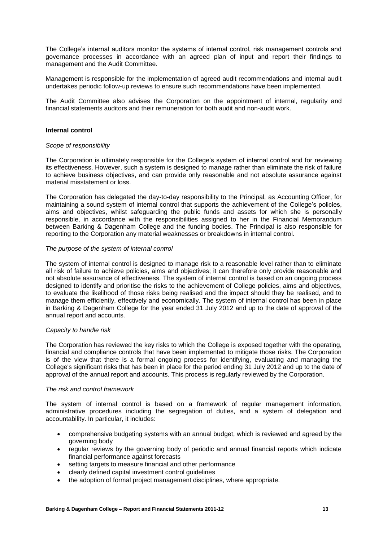The College's internal auditors monitor the systems of internal control, risk management controls and governance processes in accordance with an agreed plan of input and report their findings to management and the Audit Committee.

Management is responsible for the implementation of agreed audit recommendations and internal audit undertakes periodic follow-up reviews to ensure such recommendations have been implemented.

The Audit Committee also advises the Corporation on the appointment of internal, regularity and financial statements auditors and their remuneration for both audit and non-audit work.

#### **Internal control**

#### *Scope of responsibility*

The Corporation is ultimately responsible for the College's system of internal control and for reviewing its effectiveness. However, such a system is designed to manage rather than eliminate the risk of failure to achieve business objectives, and can provide only reasonable and not absolute assurance against material misstatement or loss.

The Corporation has delegated the day-to-day responsibility to the Principal, as Accounting Officer, for maintaining a sound system of internal control that supports the achievement of the College's policies, aims and objectives, whilst safeguarding the public funds and assets for which she is personally responsible, in accordance with the responsibilities assigned to her in the Financial Memorandum between Barking & Dagenham College and the funding bodies. The Principal is also responsible for reporting to the Corporation any material weaknesses or breakdowns in internal control.

#### *The purpose of the system of internal control*

The system of internal control is designed to manage risk to a reasonable level rather than to eliminate all risk of failure to achieve policies, aims and objectives; it can therefore only provide reasonable and not absolute assurance of effectiveness. The system of internal control is based on an ongoing process designed to identify and prioritise the risks to the achievement of College policies, aims and objectives, to evaluate the likelihood of those risks being realised and the impact should they be realised, and to manage them efficiently, effectively and economically. The system of internal control has been in place in Barking & Dagenham College for the year ended 31 July 2012 and up to the date of approval of the annual report and accounts.

#### *Capacity to handle risk*

The Corporation has reviewed the key risks to which the College is exposed together with the operating, financial and compliance controls that have been implemented to mitigate those risks. The Corporation is of the view that there is a formal ongoing process for identifying, evaluating and managing the College's significant risks that has been in place for the period ending 31 July 2012 and up to the date of approval of the annual report and accounts. This process is regularly reviewed by the Corporation.

#### *The risk and control framework*

The system of internal control is based on a framework of regular management information, administrative procedures including the segregation of duties, and a system of delegation and accountability. In particular, it includes:

- comprehensive budgeting systems with an annual budget, which is reviewed and agreed by the governing body
- regular reviews by the governing body of periodic and annual financial reports which indicate financial performance against forecasts
- setting targets to measure financial and other performance
- clearly defined capital investment control guidelines
- the adoption of formal project management disciplines, where appropriate.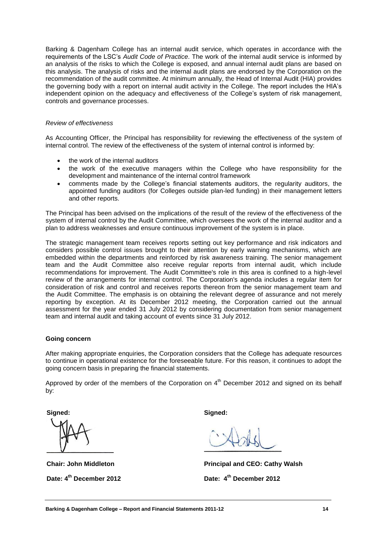Barking & Dagenham College has an internal audit service, which operates in accordance with the requirements of the LSC"s *Audit Code of Practice*. The work of the internal audit service is informed by an analysis of the risks to which the College is exposed, and annual internal audit plans are based on this analysis. The analysis of risks and the internal audit plans are endorsed by the Corporation on the recommendation of the audit committee. At minimum annually, the Head of Internal Audit (HIA) provides the governing body with a report on internal audit activity in the College. The report includes the HIA"s independent opinion on the adequacy and effectiveness of the College's system of risk management, controls and governance processes.

#### *Review of effectiveness*

As Accounting Officer, the Principal has responsibility for reviewing the effectiveness of the system of internal control. The review of the effectiveness of the system of internal control is informed by:

- the work of the internal auditors
- the work of the executive managers within the College who have responsibility for the development and maintenance of the internal control framework
- comments made by the College"s financial statements auditors, the regularity auditors, the appointed funding auditors (for Colleges outside plan-led funding) in their management letters and other reports.

The Principal has been advised on the implications of the result of the review of the effectiveness of the system of internal control by the Audit Committee, which oversees the work of the internal auditor and a plan to address weaknesses and ensure continuous improvement of the system is in place.

The strategic management team receives reports setting out key performance and risk indicators and considers possible control issues brought to their attention by early warning mechanisms, which are embedded within the departments and reinforced by risk awareness training. The senior management team and the Audit Committee also receive regular reports from internal audit, which include recommendations for improvement. The Audit Committee's role in this area is confined to a high-level review of the arrangements for internal control. The Corporation's agenda includes a regular item for consideration of risk and control and receives reports thereon from the senior management team and the Audit Committee. The emphasis is on obtaining the relevant degree of assurance and not merely reporting by exception. At its December 2012 meeting, the Corporation carried out the annual assessment for the year ended 31 July 2012 by considering documentation from senior management team and internal audit and taking account of events since 31 July 2012.

#### **Going concern**

After making appropriate enquiries, the Corporation considers that the College has adequate resources to continue in operational existence for the foreseeable future. For this reason, it continues to adopt the going concern basis in preparing the financial statements.

Approved by order of the members of the Corporation on  $4<sup>th</sup>$  December 2012 and signed on its behalf by:

**Signed:**

**Chair: John Middleton Date: 4 th December 2012**

**Signed:**

**Principal and CEO: Cathy Walsh Date: 4 th December 2012**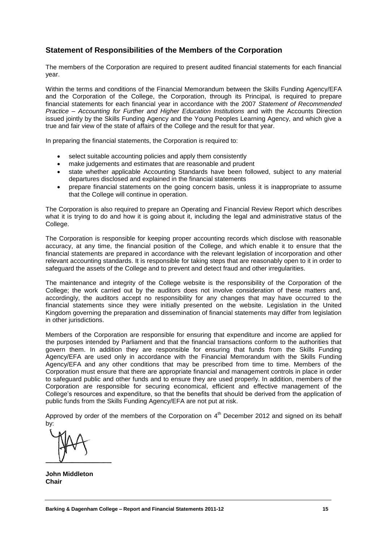## **Statement of Responsibilities of the Members of the Corporation**

The members of the Corporation are required to present audited financial statements for each financial year.

Within the terms and conditions of the Financial Memorandum between the Skills Funding Agency/EFA and the Corporation of the College, the Corporation, through its Principal, is required to prepare financial statements for each financial year in accordance with the 2007 *Statement of Recommended Practice – Accounting for Further and Higher Education Institutions* and with the Accounts Direction issued jointly by the Skills Funding Agency and the Young Peoples Learning Agency, and which give a true and fair view of the state of affairs of the College and the result for that year.

In preparing the financial statements, the Corporation is required to:

- select suitable accounting policies and apply them consistently
- make judgements and estimates that are reasonable and prudent
- state whether applicable Accounting Standards have been followed, subject to any material departures disclosed and explained in the financial statements
- prepare financial statements on the going concern basis, unless it is inappropriate to assume that the College will continue in operation.

The Corporation is also required to prepare an Operating and Financial Review Report which describes what it is trying to do and how it is going about it, including the legal and administrative status of the College.

The Corporation is responsible for keeping proper accounting records which disclose with reasonable accuracy, at any time, the financial position of the College, and which enable it to ensure that the financial statements are prepared in accordance with the relevant legislation of incorporation and other relevant accounting standards. It is responsible for taking steps that are reasonably open to it in order to safeguard the assets of the College and to prevent and detect fraud and other irregularities.

The maintenance and integrity of the College website is the responsibility of the Corporation of the College; the work carried out by the auditors does not involve consideration of these matters and, accordingly, the auditors accept no responsibility for any changes that may have occurred to the financial statements since they were initially presented on the website. Legislation in the United Kingdom governing the preparation and dissemination of financial statements may differ from legislation in other jurisdictions.

Members of the Corporation are responsible for ensuring that expenditure and income are applied for the purposes intended by Parliament and that the financial transactions conform to the authorities that govern them. In addition they are responsible for ensuring that funds from the Skills Funding Agency/EFA are used only in accordance with the Financial Memorandum with the Skills Funding Agency/EFA and any other conditions that may be prescribed from time to time. Members of the Corporation must ensure that there are appropriate financial and management controls in place in order to safeguard public and other funds and to ensure they are used properly. In addition, members of the Corporation are responsible for securing economical, efficient and effective management of the College"s resources and expenditure, so that the benefits that should be derived from the application of public funds from the Skills Funding Agency/EFA are not put at risk.

Approved by order of the members of the Corporation on  $4<sup>th</sup>$  December 2012 and signed on its behalf by:

**John Middleton Chair**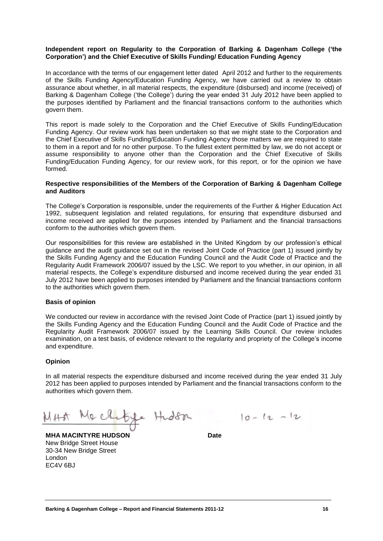#### **Independent report on Regularity to the Corporation of Barking & Dagenham College ('the Corporation') and the Chief Executive of Skills Funding/ Education Funding Agency**

In accordance with the terms of our engagement letter dated April 2012 and further to the requirements of the Skills Funding Agency/Education Funding Agency, we have carried out a review to obtain assurance about whether, in all material respects, the expenditure (disbursed) and income (received) of Barking & Dagenham College ('the College') during the year ended 31 July 2012 have been applied to the purposes identified by Parliament and the financial transactions conform to the authorities which govern them.

This report is made solely to the Corporation and the Chief Executive of Skills Funding/Education Funding Agency. Our review work has been undertaken so that we might state to the Corporation and the Chief Executive of Skills Funding/Education Funding Agency those matters we are required to state to them in a report and for no other purpose. To the fullest extent permitted by law, we do not accept or assume responsibility to anyone other than the Corporation and the Chief Executive of Skills Funding/Education Funding Agency, for our review work, for this report, or for the opinion we have formed.

#### **Respective responsibilities of the Members of the Corporation of Barking & Dagenham College and Auditors**

The College's Corporation is responsible, under the requirements of the Further & Higher Education Act 1992, subsequent legislation and related regulations, for ensuring that expenditure disbursed and income received are applied for the purposes intended by Parliament and the financial transactions conform to the authorities which govern them.

Our responsibilities for this review are established in the United Kingdom by our profession's ethical guidance and the audit guidance set out in the revised Joint Code of Practice (part 1) issued jointly by the Skills Funding Agency and the Education Funding Council and the Audit Code of Practice and the Regularity Audit Framework 2006/07 issued by the LSC. We report to you whether, in our opinion, in all material respects, the College's expenditure disbursed and income received during the year ended 31 July 2012 have been applied to purposes intended by Parliament and the financial transactions conform to the authorities which govern them.

### **Basis of opinion**

We conducted our review in accordance with the revised Joint Code of Practice (part 1) issued jointly by the Skills Funding Agency and the Education Funding Council and the Audit Code of Practice and the Regularity Audit Framework 2006/07 issued by the Learning Skills Council. Our review includes examination, on a test basis, of evidence relevant to the regularity and propriety of the College's income and expenditure.

### **Opinion**

In all material respects the expenditure disbursed and income received during the year ended 31 July 2012 has been applied to purposes intended by Parliament and the financial transactions conform to the authorities which govern them.

 $M_{\Phi}$  chatage Hudson  $10-12-12$ 

**MHA MACINTYRE HUDSON Date** New Bridge Street House 30-34 New Bridge Street London EC4V 6BJ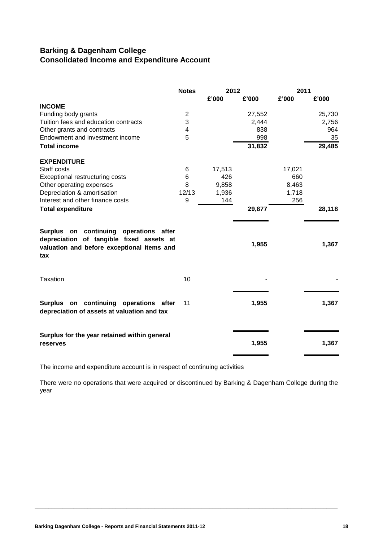# **Barking & Dagenham College Consolidated Income and Expenditure Account**

|                                                                                                                                         | <b>Notes</b>   | 2012   |        | 2011   |        |
|-----------------------------------------------------------------------------------------------------------------------------------------|----------------|--------|--------|--------|--------|
|                                                                                                                                         |                | £'000  | £'000  | £'000  | £'000  |
| <b>INCOME</b>                                                                                                                           |                |        |        |        |        |
| Funding body grants                                                                                                                     | $\overline{c}$ |        | 27,552 |        | 25,730 |
| Tuition fees and education contracts                                                                                                    | 3              |        | 2,444  |        | 2,756  |
| Other grants and contracts                                                                                                              | 4              |        | 838    |        | 964    |
| Endowment and investment income                                                                                                         | 5              |        | 998    |        | 35     |
| <b>Total income</b>                                                                                                                     |                |        | 31,832 |        | 29,485 |
| <b>EXPENDITURE</b>                                                                                                                      |                |        |        |        |        |
| Staff costs                                                                                                                             | 6              | 17,513 |        | 17,021 |        |
| Exceptional restructuring costs                                                                                                         | 6              | 426    |        | 660    |        |
| Other operating expenses                                                                                                                | 8              | 9,858  |        | 8,463  |        |
| Depreciation & amortisation                                                                                                             | 12/13          | 1,936  |        | 1,718  |        |
| Interest and other finance costs                                                                                                        | 9              | 144    |        | 256    |        |
| <b>Total expenditure</b>                                                                                                                |                |        | 29,877 |        | 28,118 |
| Surplus on continuing operations after<br>depreciation of tangible fixed assets at<br>valuation and before exceptional items and<br>tax |                |        | 1,955  |        | 1,367  |
| <b>Taxation</b>                                                                                                                         | 10             |        |        |        |        |
| Surplus on continuing operations after<br>depreciation of assets at valuation and tax                                                   | 11             |        | 1,955  |        | 1,367  |
| Surplus for the year retained within general<br>reserves                                                                                |                |        | 1,955  |        | 1,367  |

The income and expenditure account is in respect of continuing activities

There were no operations that were acquired or discontinued by Barking & Dagenham College during the year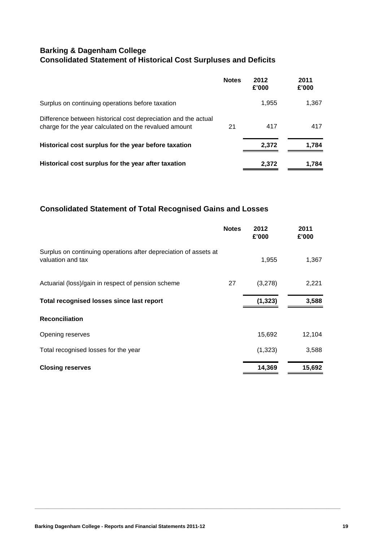# **Barking & Dagenham College Consolidated Statement of Historical Cost Surpluses and Deficits**

|                                                                                                                         | <b>Notes</b> | 2012<br>£'000 | 2011<br>£'000 |
|-------------------------------------------------------------------------------------------------------------------------|--------------|---------------|---------------|
| Surplus on continuing operations before taxation                                                                        |              | 1,955         | 1,367         |
| Difference between historical cost depreciation and the actual<br>charge for the year calculated on the revalued amount | 21           | 417           | 417           |
| Historical cost surplus for the year before taxation                                                                    |              | 2,372         | 1,784         |
| Historical cost surplus for the year after taxation                                                                     |              | 2,372         | 1,784         |

# **Consolidated Statement of Total Recognised Gains and Losses**

|                                                                                       | <b>Notes</b> | 2012<br>£'000 | 2011<br>£'000 |
|---------------------------------------------------------------------------------------|--------------|---------------|---------------|
| Surplus on continuing operations after depreciation of assets at<br>valuation and tax |              | 1,955         | 1,367         |
| Actuarial (loss)/gain in respect of pension scheme                                    | 27           | (3,278)       | 2,221         |
| Total recognised losses since last report                                             |              | (1, 323)      | 3,588         |
| <b>Reconciliation</b>                                                                 |              |               |               |
| Opening reserves                                                                      |              | 15,692        | 12,104        |
| Total recognised losses for the year                                                  |              | (1,323)       | 3,588         |
| <b>Closing reserves</b>                                                               |              | 14,369        | 15,692        |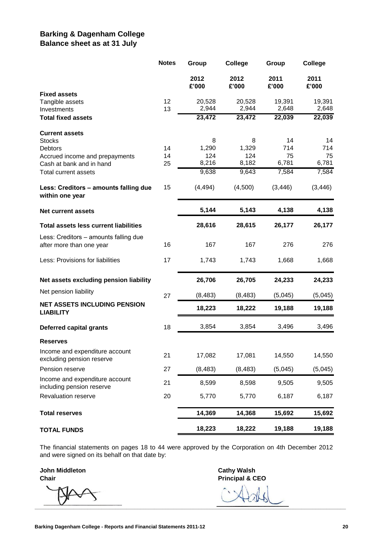# **Barking & Dagenham College Balance sheet as at 31 July**

|                                                                   | <b>Notes</b> | Group           | <b>College</b>  | Group           | College         |
|-------------------------------------------------------------------|--------------|-----------------|-----------------|-----------------|-----------------|
|                                                                   |              | 2012<br>£'000   | 2012<br>£'000   | 2011<br>£'000   | 2011<br>£'000   |
| <b>Fixed assets</b>                                               |              |                 |                 |                 |                 |
| Tangible assets<br>Investments                                    | 12<br>13     | 20,528<br>2,944 | 20,528<br>2,944 | 19,391<br>2,648 | 19,391<br>2,648 |
| <b>Total fixed assets</b>                                         |              | 23,472          | 23,472          | 22,039          | 22,039          |
| <b>Current assets</b>                                             |              |                 |                 |                 |                 |
| <b>Stocks</b><br>Debtors                                          | 14           | 8<br>1,290      | 8<br>1,329      | 14<br>714       | 14<br>714       |
| Accrued income and prepayments                                    | 14           | 124             | 124             | 75              | 75              |
| Cash at bank and in hand                                          | 25           | 8,216           | 8,182           | 6,781           | 6,781           |
| Total current assets                                              |              | 9,638           | 9,643           | 7,584           | 7,584           |
| Less: Creditors - amounts falling due<br>within one year          | 15           | (4, 494)        | (4,500)         | (3, 446)        | (3, 446)        |
| <b>Net current assets</b>                                         |              | 5,144           | 5,143           | 4,138           | 4,138           |
| <b>Total assets less current liabilities</b>                      |              | 28,616          | 28,615          | 26,177          | 26,177          |
| Less: Creditors - amounts falling due<br>after more than one year | 16           | 167             | 167             | 276             | 276             |
| Less: Provisions for liabilities                                  | 17           | 1,743           | 1,743           | 1,668           | 1,668           |
| Net assets excluding pension liability                            |              | 26,706          | 26,705          | 24,233          | 24,233          |
| Net pension liability                                             | 27           | (8, 483)        | (8, 483)        | (5,045)         | (5,045)         |
| <b>NET ASSETS INCLUDING PENSION</b><br><b>LIABILITY</b>           |              | 18,223          | 18,222          | 19,188          | 19,188          |
| Deferred capital grants                                           | 18           | 3,854           | 3,854           | 3,496           | 3,496           |
| <b>Reserves</b>                                                   |              |                 |                 |                 |                 |
| Income and expenditure account<br>excluding pension reserve       | 21           | 17,082          | 17,081          | 14,550          | 14,550          |
| Pension reserve                                                   | 27           | (8, 483)        | (8, 483)        | (5,045)         | (5,045)         |
| Income and expenditure account<br>including pension reserve       | 21           | 8,599           | 8,598           | 9,505           | 9,505           |
| Revaluation reserve                                               | 20           | 5,770           | 5,770           | 6,187           | 6,187           |
| <b>Total reserves</b>                                             |              | 14,369          | 14,368          | 15,692          | 15,692          |
| <b>TOTAL FUNDS</b>                                                |              | 18,223          | 18,222          | 19,188          | 19,188          |

The financial statements on pages 18 to 44 were approved by the Corporation on 4th December 2012 and were signed on its behalf on that date by:

**John Middleton Cathy Walsh**

**\_\_\_\_\_\_\_\_\_\_\_\_\_\_\_\_\_\_\_\_\_\_\_\_\_\_\_\_\_\_\_\_\_\_\_\_\_\_\_\_\_\_\_\_\_\_\_\_\_\_\_\_\_\_\_\_\_\_\_\_\_\_\_\_\_\_\_\_\_\_\_\_\_\_\_\_\_\_\_\_\_\_\_\_\_\_\_\_\_\_\_\_\_\_\_\_\_\_\_\_\_\_\_\_\_\_\_\_\_\_\_\_**

**Chair Principal & CEO**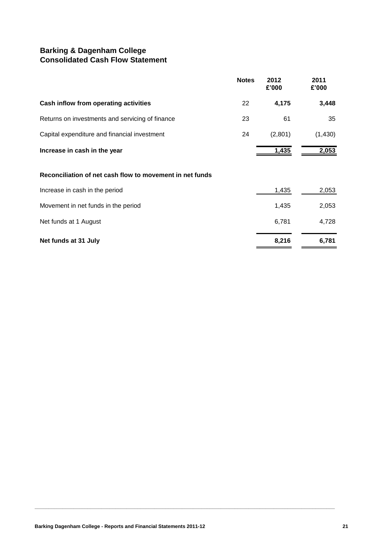# **Barking & Dagenham College Consolidated Cash Flow Statement**

|                                                 | <b>Notes</b> | 2012<br>£'000 | 2011<br>£'000 |
|-------------------------------------------------|--------------|---------------|---------------|
| Cash inflow from operating activities           | 22           | 4,175         | 3,448         |
| Returns on investments and servicing of finance | 23           | 61            | 35            |
| Capital expenditure and financial investment    | 24           | (2,801)       | (1,430)       |
| Increase in cash in the year                    |              | 1,435         | 2,053         |

### **Reconciliation of net cash flow to movement in net funds**

| Net funds at 31 July                | 8,216 | 6,781 |
|-------------------------------------|-------|-------|
| Net funds at 1 August               | 6.781 | 4.728 |
| Movement in net funds in the period | 1.435 | 2,053 |
| Increase in cash in the period      | 1,435 | 2,053 |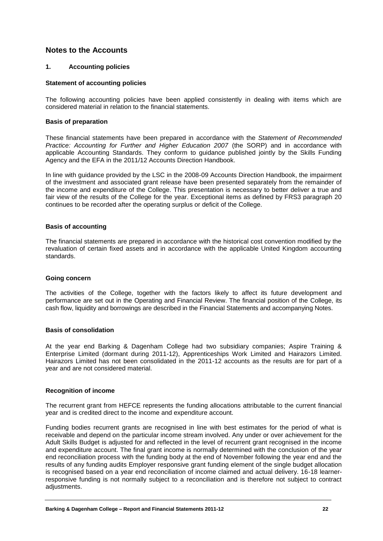### **Notes to the Accounts**

### **1. Accounting policies**

#### **Statement of accounting policies**

The following accounting policies have been applied consistently in dealing with items which are considered material in relation to the financial statements.

#### **Basis of preparation**

These financial statements have been prepared in accordance with the *Statement of Recommended Practice: Accounting for Further and Higher Education 2007* (the SORP) and in accordance with applicable Accounting Standards. They conform to guidance published jointly by the Skills Funding Agency and the EFA in the 2011/12 Accounts Direction Handbook.

In line with guidance provided by the LSC in the 2008-09 Accounts Direction Handbook, the impairment of the investment and associated grant release have been presented separately from the remainder of the income and expenditure of the College. This presentation is necessary to better deliver a true and fair view of the results of the College for the year. Exceptional items as defined by FRS3 paragraph 20 continues to be recorded after the operating surplus or deficit of the College.

#### **Basis of accounting**

The financial statements are prepared in accordance with the historical cost convention modified by the revaluation of certain fixed assets and in accordance with the applicable United Kingdom accounting standards.

### **Going concern**

The activities of the College, together with the factors likely to affect its future development and performance are set out in the Operating and Financial Review. The financial position of the College, its cash flow, liquidity and borrowings are described in the Financial Statements and accompanying Notes.

#### **Basis of consolidation**

At the year end Barking & Dagenham College had two subsidiary companies; Aspire Training & Enterprise Limited (dormant during 2011-12), Apprenticeships Work Limited and Hairazors Limited. Hairazors Limited has not been consolidated in the 2011-12 accounts as the results are for part of a year and are not considered material.

#### **Recognition of income**

The recurrent grant from HEFCE represents the funding allocations attributable to the current financial year and is credited direct to the income and expenditure account.

Funding bodies recurrent grants are recognised in line with best estimates for the period of what is receivable and depend on the particular income stream involved. Any under or over achievement for the Adult Skills Budget is adjusted for and reflected in the level of recurrent grant recognised in the income and expenditure account. The final grant income is normally determined with the conclusion of the year end reconciliation process with the funding body at the end of November following the year end and the results of any funding audits Employer responsive grant funding element of the single budget allocation is recognised based on a year end reconciliation of income claimed and actual delivery. 16-18 learnerresponsive funding is not normally subject to a reconciliation and is therefore not subject to contract adjustments.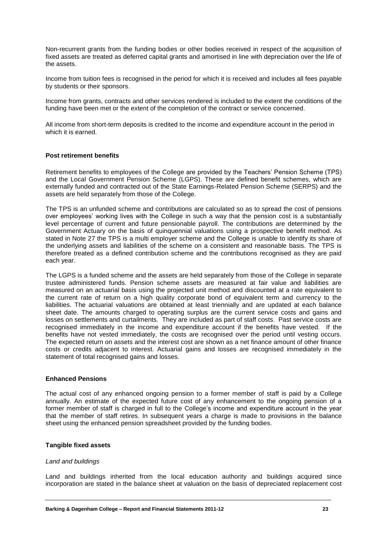Non-recurrent grants from the funding bodies or other bodies received in respect of the acquisition of fixed assets are treated as deferred capital grants and amortised in line with depreciation over the life of the assets.

Income from tuition fees is recognised in the period for which it is received and includes all fees payable by students or their sponsors.

Income from grants, contracts and other services rendered is included to the extent the conditions of the funding have been met or the extent of the completion of the contract or service concerned.

All income from short-term deposits is credited to the income and expenditure account in the period in which it is earned.

#### **Post retirement benefits**

Retirement benefits to employees of the College are provided by the Teachers' Pension Scheme (TPS) and the Local Government Pension Scheme (LGPS). These are defined benefit schemes, which are externally funded and contracted out of the State Earnings-Related Pension Scheme (SERPS) and the assets are held separately from those of the College.

The TPS is an unfunded scheme and contributions are calculated so as to spread the cost of pensions over employees' working lives with the College in such a way that the pension cost is a substantially level percentage of current and future pensionable payroll. The contributions are determined by the Government Actuary on the basis of quinquennial valuations using a prospective benefit method. As stated in Note 27 the TPS is a multi employer scheme and the College is unable to identify its share of the underlying assets and liabilities of the scheme on a consistent and reasonable basis. The TPS is therefore treated as a defined contribution scheme and the contributions recognised as they are paid each year.

The LGPS is a funded scheme and the assets are held separately from those of the College in separate trustee administered funds. Pension scheme assets are measured at fair value and liabilities are measured on an actuarial basis using the projected unit method and discounted at a rate equivalent to the current rate of return on a high quality corporate bond of equivalent term and currency to the liabilities. The actuarial valuations are obtained at least triennially and are updated at each balance sheet date. The amounts charged to operating surplus are the current service costs and gains and losses on settlements and curtailments. They are included as part of staff costs. Past service costs are recognised immediately in the income and expenditure account if the benefits have vested. If the benefits have not vested immediately, the costs are recognised over the period until vesting occurs. The expected return on assets and the interest cost are shown as a net finance amount of other finance costs or credits adjacent to interest. Actuarial gains and losses are recognised immediately in the statement of total recognised gains and losses.

#### **Enhanced Pensions**

The actual cost of any enhanced ongoing pension to a former member of staff is paid by a College annually. An estimate of the expected future cost of any enhancement to the ongoing pension of a former member of staff is charged in full to the College's income and expenditure account in the year that the member of staff retires. In subsequent years a charge is made to provisions in the balance sheet using the enhanced pension spreadsheet provided by the funding bodies.

#### **Tangible fixed assets**

#### *Land and buildings*

Land and buildings inherited from the local education authority and buildings acquired since incorporation are stated in the balance sheet at valuation on the basis of depreciated replacement cost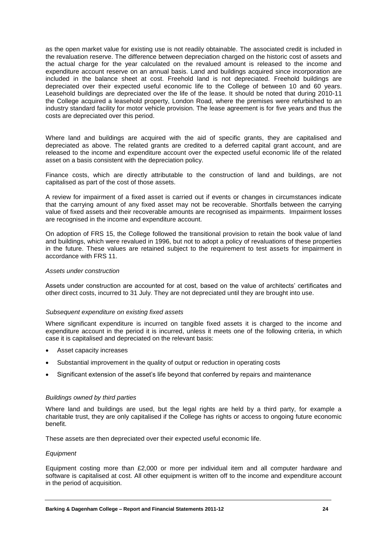as the open market value for existing use is not readily obtainable. The associated credit is included in the revaluation reserve. The difference between depreciation charged on the historic cost of assets and the actual charge for the year calculated on the revalued amount is released to the income and expenditure account reserve on an annual basis. Land and buildings acquired since incorporation are included in the balance sheet at cost. Freehold land is not depreciated. Freehold buildings are depreciated over their expected useful economic life to the College of between 10 and 60 years. Leasehold buildings are depreciated over the life of the lease. It should be noted that during 2010-11 the College acquired a leasehold property, London Road, where the premises were refurbished to an industry standard facility for motor vehicle provision. The lease agreement is for five years and thus the costs are depreciated over this period.

Where land and buildings are acquired with the aid of specific grants, they are capitalised and depreciated as above. The related grants are credited to a deferred capital grant account, and are released to the income and expenditure account over the expected useful economic life of the related asset on a basis consistent with the depreciation policy.

Finance costs, which are directly attributable to the construction of land and buildings, are not capitalised as part of the cost of those assets.

A review for impairment of a fixed asset is carried out if events or changes in circumstances indicate that the carrying amount of any fixed asset may not be recoverable. Shortfalls between the carrying value of fixed assets and their recoverable amounts are recognised as impairments. Impairment losses are recognised in the income and expenditure account.

On adoption of FRS 15, the College followed the transitional provision to retain the book value of land and buildings, which were revalued in 1996, but not to adopt a policy of revaluations of these properties in the future. These values are retained subject to the requirement to test assets for impairment in accordance with FRS 11.

#### *Assets under construction*

Assets under construction are accounted for at cost, based on the value of architects' certificates and other direct costs, incurred to 31 July. They are not depreciated until they are brought into use.

#### *Subsequent expenditure on existing fixed assets*

Where significant expenditure is incurred on tangible fixed assets it is charged to the income and expenditure account in the period it is incurred, unless it meets one of the following criteria, in which case it is capitalised and depreciated on the relevant basis:

- Asset capacity increases
- Substantial improvement in the quality of output or reduction in operating costs
- Significant extension of the asset's life beyond that conferred by repairs and maintenance

#### *Buildings owned by third parties*

Where land and buildings are used, but the legal rights are held by a third party, for example a charitable trust, they are only capitalised if the College has rights or access to ongoing future economic benefit.

These assets are then depreciated over their expected useful economic life.

#### *Equipment*

Equipment costing more than £2,000 or more per individual item and all computer hardware and software is capitalised at cost. All other equipment is written off to the income and expenditure account in the period of acquisition.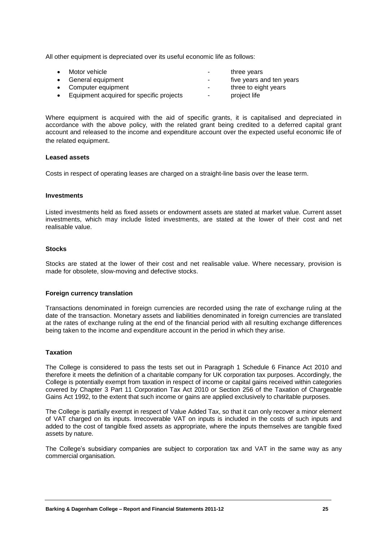All other equipment is depreciated over its useful economic life as follows:

| $\bullet$ | Motor vehicle                            | ۰      | three years              |
|-----------|------------------------------------------|--------|--------------------------|
|           | • General equipment                      | $\sim$ | five years and ten years |
|           | • Computer equipment                     | ۰      | three to eight years     |
| $\bullet$ | Equipment acquired for specific projects | $\sim$ | project life             |

Where equipment is acquired with the aid of specific grants, it is capitalised and depreciated in accordance with the above policy, with the related grant being credited to a deferred capital grant account and released to the income and expenditure account over the expected useful economic life of the related equipment.

#### **Leased assets**

Costs in respect of operating leases are charged on a straight-line basis over the lease term.

#### **Investments**

Listed investments held as fixed assets or endowment assets are stated at market value. Current asset investments, which may include listed investments, are stated at the lower of their cost and net realisable value.

#### **Stocks**

Stocks are stated at the lower of their cost and net realisable value. Where necessary, provision is made for obsolete, slow-moving and defective stocks.

#### **Foreign currency translation**

Transactions denominated in foreign currencies are recorded using the rate of exchange ruling at the date of the transaction. Monetary assets and liabilities denominated in foreign currencies are translated at the rates of exchange ruling at the end of the financial period with all resulting exchange differences being taken to the income and expenditure account in the period in which they arise.

### **Taxation**

The College is considered to pass the tests set out in Paragraph 1 Schedule 6 Finance Act 2010 and therefore it meets the definition of a charitable company for UK corporation tax purposes. Accordingly, the College is potentially exempt from taxation in respect of income or capital gains received within categories covered by Chapter 3 Part 11 Corporation Tax Act 2010 or Section 256 of the Taxation of Chargeable Gains Act 1992, to the extent that such income or gains are applied exclusively to charitable purposes.

The College is partially exempt in respect of Value Added Tax, so that it can only recover a minor element of VAT charged on its inputs. Irrecoverable VAT on inputs is included in the costs of such inputs and added to the cost of tangible fixed assets as appropriate, where the inputs themselves are tangible fixed assets by nature.

The College's subsidiary companies are subject to corporation tax and VAT in the same way as any commercial organisation.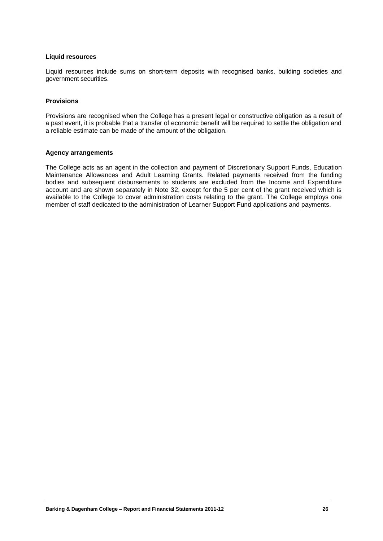#### **Liquid resources**

Liquid resources include sums on short-term deposits with recognised banks, building societies and government securities.

#### **Provisions**

Provisions are recognised when the College has a present legal or constructive obligation as a result of a past event, it is probable that a transfer of economic benefit will be required to settle the obligation and a reliable estimate can be made of the amount of the obligation.

#### **Agency arrangements**

The College acts as an agent in the collection and payment of Discretionary Support Funds, Education Maintenance Allowances and Adult Learning Grants. Related payments received from the funding bodies and subsequent disbursements to students are excluded from the Income and Expenditure account and are shown separately in Note 32, except for the 5 per cent of the grant received which is available to the College to cover administration costs relating to the grant. The College employs one member of staff dedicated to the administration of Learner Support Fund applications and payments.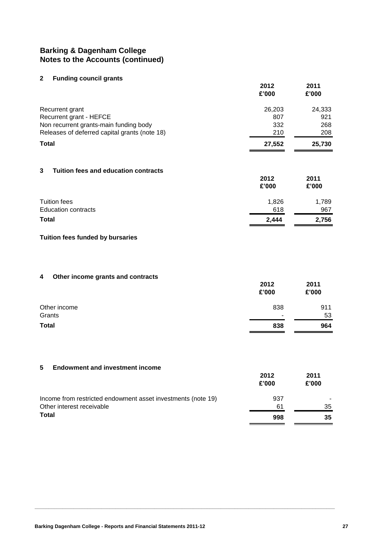#### **2 Funding council grants**

|                                               | 2012<br>£'000 | 2011<br>£'000 |
|-----------------------------------------------|---------------|---------------|
| Recurrent grant                               | 26,203        | 24,333        |
| Recurrent grant - HEFCE                       | 807           | 921           |
| Non recurrent grants-main funding body        | 332           | 268           |
| Releases of deferred capital grants (note 18) | 210           | 208           |
| <b>Total</b>                                  | 27,552        | 25,730        |
|                                               |               |               |

### **3 Tuition fees and education contracts**

|                            | 2012<br>£'000 | 2011<br>£'000 |
|----------------------------|---------------|---------------|
| Tuition fees               | 1,826         | 1,789         |
| <b>Education contracts</b> | 618           | 967           |
| <b>Total</b>               | 2,444         | 2,756         |

### **Tuition fees funded by bursaries**

### **4 Other income grants and contracts**

|              | 2012<br>£'000 | 2011<br>£'000 |
|--------------|---------------|---------------|
| Other income | 838           | 911           |
| Grants       | ۰             | 53            |
| <b>Total</b> | 838           | 964           |

#### **5 Endowment and investment income**

|                                                              | 2012<br>£'000 | 2011<br>£'000 |
|--------------------------------------------------------------|---------------|---------------|
| Income from restricted endowment asset investments (note 19) | 937           |               |
| Other interest receivable                                    | 61            | 35            |
| <b>Total</b>                                                 | 998           | 35            |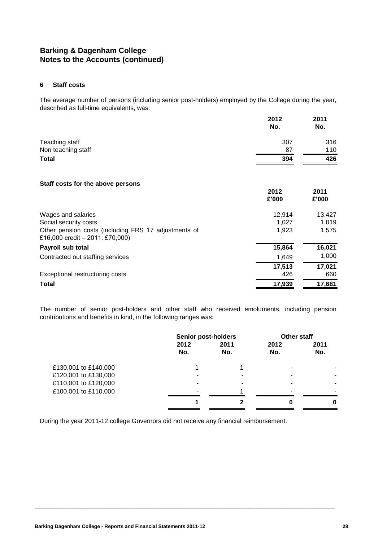#### **6 Staff costs**

The average number of persons (including senior post-holders) employed by the College during the year, described as full-time equivalents, was:

|                                                                                           | 2012<br>No.   | 2011<br>No.   |
|-------------------------------------------------------------------------------------------|---------------|---------------|
| Teaching staff                                                                            | 307           | 316           |
| Non teaching staff                                                                        | 87            | 110           |
| Total                                                                                     | 394           | 426           |
| Staff costs for the above persons                                                         |               |               |
|                                                                                           | 2012<br>£'000 | 2011<br>£'000 |
| Wages and salaries                                                                        | 12,914        | 13,427        |
| Social security costs                                                                     | 1,027         | 1,019         |
| Other pension costs (including FRS 17 adjustments of<br>£16,000 credit $-2011$ : £70,000) | 1,923         | 1,575         |
| Payroll sub total                                                                         | 15,864        | 16,021        |
| Contracted out staffing services                                                          | 1,649         | 1,000         |
|                                                                                           | 17,513        | 17,021        |
| Exceptional restructuring costs                                                           | 426           | 660           |
| Total                                                                                     | 17,939        | 17,681        |

The number of senior post-holders and other staff who received emoluments, including pension contributions and benefits in kind, in the following ranges was:

| 2011 |
|------|
|      |
| No.  |
|      |
|      |
|      |
|      |
| U    |
|      |

**\_\_\_\_\_\_\_\_\_\_\_\_\_\_\_\_\_\_\_\_\_\_\_\_\_\_\_\_\_\_\_\_\_\_\_\_\_\_\_\_\_\_\_\_\_\_\_\_\_\_\_\_\_\_\_\_\_\_\_\_\_\_\_\_\_\_\_\_\_\_\_\_\_\_\_\_\_\_\_\_\_\_\_\_\_\_\_\_\_\_\_\_\_\_\_\_\_\_\_\_\_\_\_\_\_\_\_\_**

During the year 2011-12 college Governors did not receive any financial reimbursement.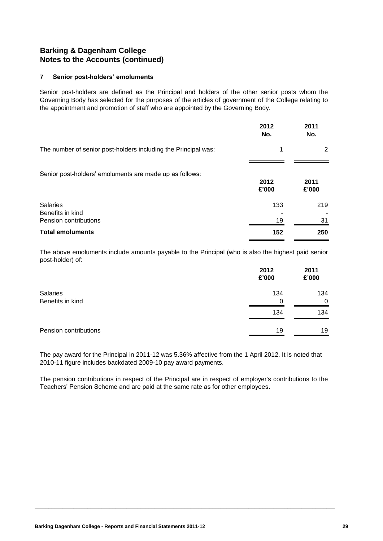### **7 Senior post-holders' emoluments**

Senior post-holders are defined as the Principal and holders of the other senior posts whom the Governing Body has selected for the purposes of the articles of government of the College relating to the appointment and promotion of staff who are appointed by the Governing Body.

|                                                                | 2012<br>No.   | 2011<br>No.   |
|----------------------------------------------------------------|---------------|---------------|
| The number of senior post-holders including the Principal was: | 1             | 2             |
| Senior post-holders' emoluments are made up as follows:        | 2012<br>£'000 | 2011<br>£'000 |
| <b>Salaries</b><br>Benefits in kind<br>Pension contributions   | 133<br>19     | 219<br>31     |
| <b>Total emoluments</b>                                        | 152           | 250           |

The above emoluments include amounts payable to the Principal (who is also the highest paid senior post-holder) of:

|                                     | 2012<br>£'000 | 2011<br>£'000   |
|-------------------------------------|---------------|-----------------|
| <b>Salaries</b><br>Benefits in kind | 134<br>0      | 134<br>$\Omega$ |
|                                     | 134           | 134             |
| Pension contributions               | 19            | 19              |

The pay award for the Principal in 2011-12 was 5.36% affective from the 1 April 2012. It is noted that 2010-11 figure includes backdated 2009-10 pay award payments.

The pension contributions in respect of the Principal are in respect of employer's contributions to the Teachers' Pension Scheme and are paid at the same rate as for other employees.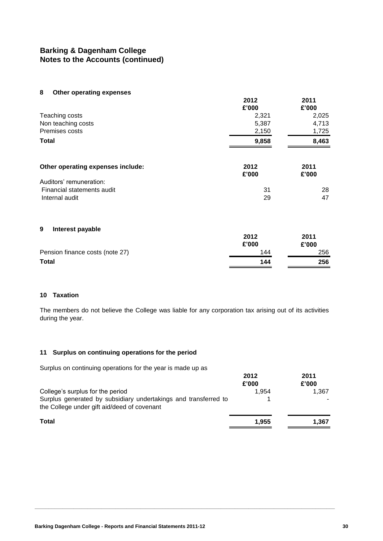**8 Other operating expenses**

|                                   | 2012<br>£'000 | 2011<br>£'000 |
|-----------------------------------|---------------|---------------|
| Teaching costs                    | 2,321         | 2,025         |
| Non teaching costs                | 5,387         | 4,713         |
| Premises costs                    | 2,150         | 1,725         |
| Total                             | 9,858         | 8,463         |
| Other operating expenses include: | 2012<br>£'000 | 2011<br>£'000 |
| Auditors' remuneration:           |               |               |
| Financial statements audit        | 31            | 28            |
| Internal audit                    | 29            | 47            |
| 9<br>Interest payable             |               |               |
|                                   | 2012          | 2011          |
|                                   | £'000         | £'000         |
| Pension finance costs (note 27)   | 144           | 256           |
| <b>Total</b>                      | 144           | 256           |

### **10 Taxation**

The members do not believe the College was liable for any corporation tax arising out of its activities during the year.

#### **11 Surplus on continuing operations for the period**

Surplus on continuing operations for the year is made up as

|                                                                                                                | 2012<br>£'000 | 2011<br>£'000 |
|----------------------------------------------------------------------------------------------------------------|---------------|---------------|
| College's surplus for the period                                                                               | 1.954         | 1.367         |
| Surplus generated by subsidiary undertakings and transferred to<br>the College under gift aid/deed of covenant |               |               |
| <b>Total</b>                                                                                                   | 1.955         | 1.367         |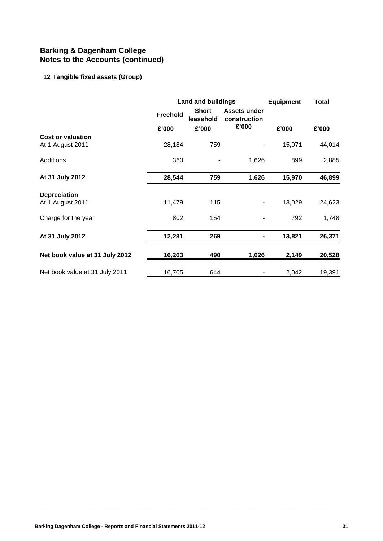# **12 Tangible fixed assets (Group)**

|                                              |                 | Land and buildings<br><b>Equipment</b> |                                                           |        | Total  |
|----------------------------------------------|-----------------|----------------------------------------|-----------------------------------------------------------|--------|--------|
|                                              | <b>Freehold</b> |                                        | <b>Short</b><br>Assets under<br>leasehold<br>construction |        |        |
|                                              | £'000           | £'000                                  | £'000                                                     | £'000  | £'000  |
| <b>Cost or valuation</b><br>At 1 August 2011 | 28,184          | 759                                    |                                                           | 15,071 | 44,014 |
| Additions                                    | 360             |                                        | 1,626                                                     | 899    | 2,885  |
| At 31 July 2012                              | 28,544          | 759                                    | 1,626                                                     | 15,970 | 46,899 |
| <b>Depreciation</b>                          |                 |                                        |                                                           |        |        |
| At 1 August 2011                             | 11,479          | 115                                    |                                                           | 13,029 | 24,623 |
| Charge for the year                          | 802             | 154                                    |                                                           | 792    | 1,748  |
| At 31 July 2012                              | 12,281          | 269                                    |                                                           | 13,821 | 26,371 |
| Net book value at 31 July 2012               | 16,263          | 490                                    | 1,626                                                     | 2,149  | 20,528 |
| Net book value at 31 July 2011               | 16,705          | 644                                    |                                                           | 2,042  | 19,391 |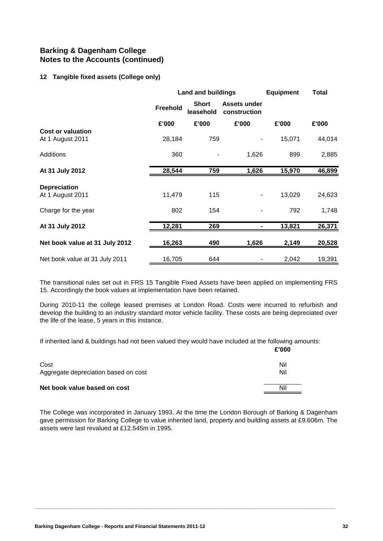#### **12 Tangible fixed assets (College only)**

|                                | <b>Land and buildings</b> |                           |                                     | <b>Equipment</b> | <b>Total</b> |  |
|--------------------------------|---------------------------|---------------------------|-------------------------------------|------------------|--------------|--|
|                                | <b>Freehold</b>           | <b>Short</b><br>leasehold | <b>Assets under</b><br>construction |                  |              |  |
|                                | £'000                     | £'000                     | £'000                               | £'000            | £'000        |  |
| Cost or valuation              |                           |                           |                                     |                  |              |  |
| At 1 August 2011               | 28,184                    | 759                       |                                     | 15,071           | 44,014       |  |
| Additions                      | 360                       |                           | 1,626                               | 899              | 2,885        |  |
| At 31 July 2012                | 28,544                    | 759                       | 1,626                               | 15,970           | 46,899       |  |
| <b>Depreciation</b>            |                           |                           |                                     |                  |              |  |
| At 1 August 2011               | 11,479                    | 115                       | -                                   | 13,029           | 24,623       |  |
| Charge for the year            | 802                       | 154                       |                                     | 792              | 1,748        |  |
| At 31 July 2012                | 12,281                    | 269                       |                                     | 13,821           | 26,371       |  |
| Net book value at 31 July 2012 | 16,263                    | 490                       | 1,626                               | 2,149            | 20,528       |  |
| Net book value at 31 July 2011 | 16,705                    | 644                       |                                     | 2,042            | 19,391       |  |

The transitional rules set out in FRS 15 Tangible Fixed Assets have been applied on implementing FRS 15. Accordingly the book values at implementation have been retained.

During 2010-11 the college leased premises at London Road. Costs were incurred to refurbish and develop the building to an industry standard motor vehicle facility. These costs are being depreciated over the life of the lease, 5 years in this instance.

**£'000** If inherited land & buildings had not been valued they would have included at the following amounts:

|                                              | t uuu      |
|----------------------------------------------|------------|
| Cost<br>Aggregate depreciation based on cost | Nil<br>Nil |
|                                              | Nil        |
| Net book value based on cost                 |            |

The College was incorporated in January 1993. At the time the London Borough of Barking & Dagenham gave permission for Barking College to value inherited land, property and building assets at £9.606m. The assets were last revalued at £12.545m in 1995.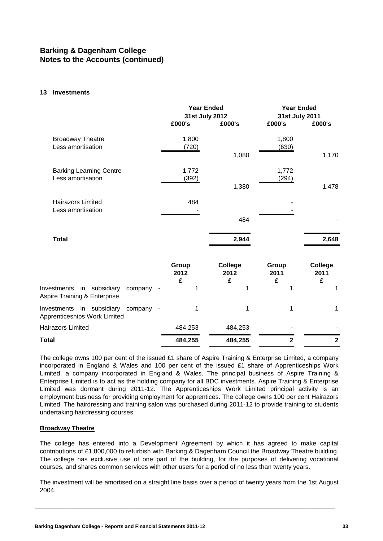#### **13 Investments**

|                                                                                | <b>Year Ended</b><br>31st July 2012<br>£000's | £000's               | <b>Year Ended</b><br>31st July 2011<br>£000's<br>£000's |                      |
|--------------------------------------------------------------------------------|-----------------------------------------------|----------------------|---------------------------------------------------------|----------------------|
| <b>Broadway Theatre</b><br>Less amortisation                                   | 1,800<br>(720)                                | 1,080                | 1,800<br>(630)                                          | 1,170                |
| <b>Barking Learning Centre</b><br>Less amortisation                            | 1,772<br>(392)                                | 1,380                | 1,772<br>(294)                                          | 1,478                |
| <b>Hairazors Limited</b><br>Less amortisation                                  | 484                                           | 484                  |                                                         |                      |
| <b>Total</b>                                                                   |                                               | 2,944                |                                                         | 2,648                |
|                                                                                | Group<br>2012<br>£                            | College<br>2012<br>£ | Group<br>2011<br>£                                      | College<br>2011<br>£ |
| Investments in subsidiary<br>company<br>Aspire Training & Enterprise           | 1                                             | 1                    | 1                                                       | 1                    |
| Investments in subsidiary<br>company<br>$\sim$<br>Apprenticeships Work Limited | 1                                             | 1                    | 1                                                       | 1                    |
| <b>Hairazors Limited</b>                                                       | 484,253                                       | 484,253              |                                                         |                      |
| Total                                                                          | 484,255                                       | 484,255              | $\overline{\mathbf{2}}$                                 | $\mathbf{2}$         |

The college owns 100 per cent of the issued £1 share of Aspire Training & Enterprise Limited, a company incorporated in England & Wales and 100 per cent of the issued £1 share of Apprenticeships Work Limited, a company incorporated in England & Wales. The principal business of Aspire Training & Enterprise Limited is to act as the holding company for all BDC investments. Aspire Training & Enterprise Limited was dormant during 2011-12. The Apprenticeships Work Limited principal activity is an employment business for providing employment for apprentices. The college owns 100 per cent Hairazors Limited. The hairdressing and training salon was purchased during 2011-12 to provide training to students undertaking hairdressing courses.

#### **Broadway Theatre**

The college has entered into a Development Agreement by which it has agreed to make capital contributions of £1,800,000 to refurbish with Barking & Dagenham Council the Broadway Theatre building. The college has exclusive use of one part of the building, for the purposes of delivering vocational courses, and shares common services with other users for a period of no less than twenty years.

The investment will be amortised on a straight line basis over a period of twenty years from the 1st August 2004.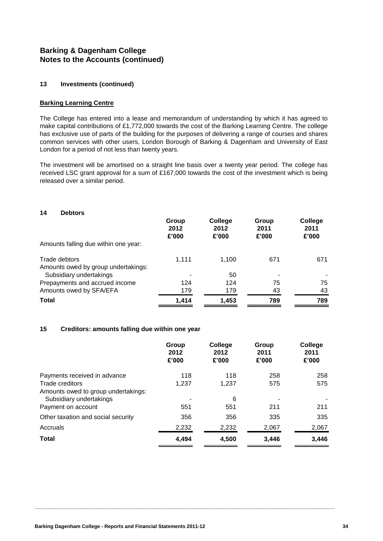#### **13 Investments (continued)**

#### **Barking Learning Centre**

The College has entered into a lease and memorandum of understanding by which it has agreed to make capital contributions of £1,772,000 towards the cost of the Barking Learning Centre. The college has exclusive use of parts of the building for the purposes of delivering a range of courses and shares common services with other users, London Borough of Barking & Dagenham and University of East London for a period of not less than twenty years.

The investment will be amortised on a straight line basis over a twenty year period. The college has received LSC grant approval for a sum of £167,000 towards the cost of the investment which is being released over a similar period.

| 14<br><b>Debtors</b>                 |                        |                          |                        |                          |
|--------------------------------------|------------------------|--------------------------|------------------------|--------------------------|
|                                      | Group<br>2012<br>£'000 | College<br>2012<br>£'000 | Group<br>2011<br>£'000 | College<br>2011<br>£'000 |
| Amounts falling due within one year: |                        |                          |                        |                          |
| Trade debtors                        | 1,111                  | 1,100                    | 671                    | 671                      |
| Amounts owed by group undertakings:  |                        |                          |                        |                          |
| Subsidiary undertakings              |                        | 50                       |                        |                          |
| Prepayments and accrued income       | 124                    | 124                      | 75                     | 75                       |
| Amounts owed by SFA/EFA              | 179                    | 179                      | 43                     | 43                       |
| <b>Total</b>                         | 1,414                  | 1,453                    | 789                    | 789                      |

#### **15 Creditors: amounts falling due within one year**

|                                     | Group<br>2012<br>£'000 | College<br>2012<br>£'000 | Group<br>2011<br>£'000 | College<br>2011<br>£'000 |
|-------------------------------------|------------------------|--------------------------|------------------------|--------------------------|
| Payments received in advance        | 118                    | 118                      | 258                    | 258                      |
| Trade creditors                     | 1.237                  | 1.237                    | 575                    | 575                      |
| Amounts owed to group undertakings: |                        |                          |                        |                          |
| Subsidiary undertakings             |                        | 6                        |                        |                          |
| Payment on account                  | 551                    | 551                      | 211                    | 211                      |
| Other taxation and social security  | 356                    | 356                      | 335                    | 335                      |
| Accruals                            | 2,232                  | 2,232                    | 2,067                  | 2,067                    |
| <b>Total</b>                        | 4.494                  | 4,500                    | 3.446                  | 3,446                    |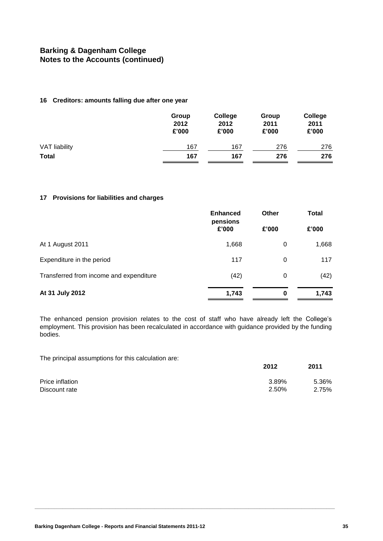#### **16 Creditors: amounts falling due after one year**

|                      | Group<br>2012<br>£'000 | College<br>2012<br>£'000 | Group<br>2011<br>£'000 | College<br>2011<br>£'000 |
|----------------------|------------------------|--------------------------|------------------------|--------------------------|
| <b>VAT liability</b> | 167                    | 167                      | 276                    | 276                      |
| <b>Total</b>         | 167                    | 167                      | 276                    | 276                      |

#### **17 Provisions for liabilities and charges**

|                                         | <b>Enhanced</b><br>pensions | <b>Other</b> | <b>Total</b> |  |
|-----------------------------------------|-----------------------------|--------------|--------------|--|
|                                         | £'000                       | £'000        | £'000        |  |
| At 1 August 2011                        | 1,668                       | 0            | 1,668        |  |
| Expenditure in the period               | 117                         | 0            | 117          |  |
| Transferred from income and expenditure | (42)                        | 0            | (42)         |  |
| At 31 July 2012                         | 1,743                       | 0            | 1,743        |  |

The enhanced pension provision relates to the cost of staff who have already left the College's employment. This provision has been recalculated in accordance with guidance provided by the funding bodies.

The principal assumptions for this calculation are:

|                 | 2012  | 2011  |
|-----------------|-------|-------|
| Price inflation | 3.89% | 5.36% |
| Discount rate   | 2.50% | 2.75% |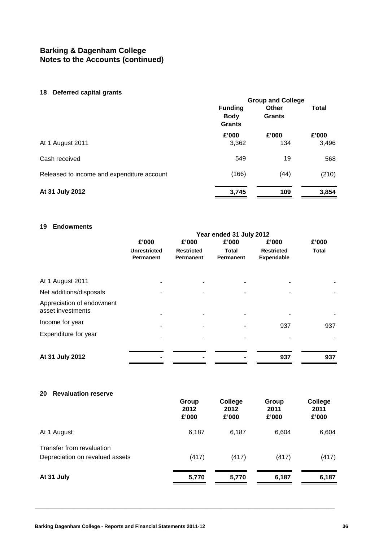#### **18 Deferred capital grants**

| <b>10 Deterioù oapital grafito</b>         | <b>Group and College</b>                       |                        |              |
|--------------------------------------------|------------------------------------------------|------------------------|--------------|
|                                            | <b>Funding</b><br><b>Body</b><br><b>Grants</b> | <b>Other</b><br>Grants | <b>Total</b> |
|                                            | £'000                                          | £'000                  | £'000        |
| At 1 August 2011                           | 3,362                                          | 134                    | 3,496        |
| Cash received                              | 549                                            | 19                     | 568          |
| Released to income and expenditure account | (166)                                          | (44)                   | (210)        |
| At 31 July 2012                            | 3.745                                          | 109                    | 3,854        |

### **19 Endowments**

| -------------                                  | Year ended 31 July 2012                 |                                       |                                  |                                        |              |
|------------------------------------------------|-----------------------------------------|---------------------------------------|----------------------------------|----------------------------------------|--------------|
|                                                | £'000                                   | £'000                                 | £'000                            | £'000                                  | £'000        |
|                                                | <b>Unrestricted</b><br><b>Permanent</b> | <b>Restricted</b><br><b>Permanent</b> | <b>Total</b><br><b>Permanent</b> | <b>Restricted</b><br><b>Expendable</b> | <b>Total</b> |
| At 1 August 2011                               |                                         |                                       |                                  |                                        |              |
| Net additions/disposals                        |                                         |                                       |                                  |                                        |              |
| Appreciation of endowment<br>asset investments |                                         |                                       |                                  |                                        |              |
| Income for year                                |                                         |                                       |                                  | 937                                    | 937          |
| Expenditure for year                           |                                         |                                       |                                  |                                        |              |
| At 31 July 2012                                |                                         |                                       |                                  | 937                                    | 937          |

| <b>Revaluation reserve</b><br>20 |                        |                          |                        |                          |
|----------------------------------|------------------------|--------------------------|------------------------|--------------------------|
|                                  | Group<br>2012<br>£'000 | College<br>2012<br>£'000 | Group<br>2011<br>£'000 | College<br>2011<br>£'000 |
| At 1 August                      | 6,187                  | 6,187                    | 6,604                  | 6,604                    |
| Transfer from revaluation        |                        |                          |                        |                          |
| Depreciation on revalued assets  | (417)                  | (417)                    | (417)                  | (417)                    |
| At 31 July                       | 5,770                  | 5,770                    | 6,187                  | 6,187                    |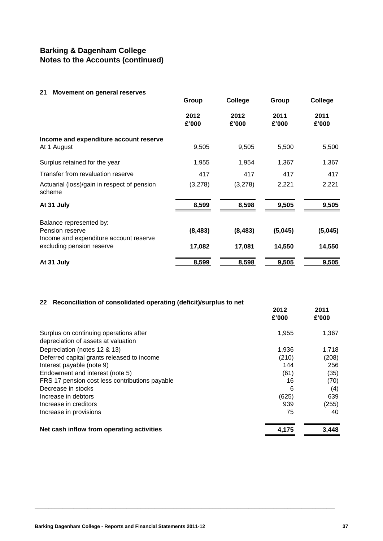#### **21 Movement on general reserves**

|                                                                     | Group         | College       | Group         | College       |
|---------------------------------------------------------------------|---------------|---------------|---------------|---------------|
|                                                                     | 2012<br>£'000 | 2012<br>£'000 | 2011<br>£'000 | 2011<br>£'000 |
| Income and expenditure account reserve<br>At 1 August               | 9,505         | 9,505         | 5,500         | 5,500         |
| Surplus retained for the year                                       | 1,955         | 1,954         | 1,367         | 1,367         |
| Transfer from revaluation reserve                                   | 417           | 417           | 417           | 417           |
| Actuarial (loss)/gain in respect of pension<br>scheme               | (3,278)       | (3,278)       | 2,221         | 2,221         |
| At 31 July                                                          | 8,599         | 8,598         | 9,505         | 9,505         |
| Balance represented by:<br>Pension reserve                          | (8, 483)      | (8, 483)      | (5,045)       | (5,045)       |
| Income and expenditure account reserve<br>excluding pension reserve | 17,082        | 17,081        | 14,550        | 14,550        |
| At 31 July                                                          | 8,599         | 8,598         | 9,505         | 9,505         |

#### **22 Reconciliation of consolidated operating (deficit)/surplus to net**

|                                                | 2012<br>£'000 | 2011<br>£'000 |
|------------------------------------------------|---------------|---------------|
| Surplus on continuing operations after         | 1,955         | 1,367         |
| depreciation of assets at valuation            |               |               |
| Depreciation (notes 12 & 13)                   | 1,936         | 1,718         |
| Deferred capital grants released to income     | (210)         | (208)         |
| Interest payable (note 9)                      | 144           | 256           |
| Endowment and interest (note 5)                | (61)          | (35)          |
| FRS 17 pension cost less contributions payable | 16            | (70)          |
| Decrease in stocks                             | 6             | (4)           |
| Increase in debtors                            | (625)         | 639           |
| Increase in creditors                          | 939           | (255)         |
| Increase in provisions                         | 75            | 40            |
| Net cash inflow from operating activities      | 4,175         | 3,448         |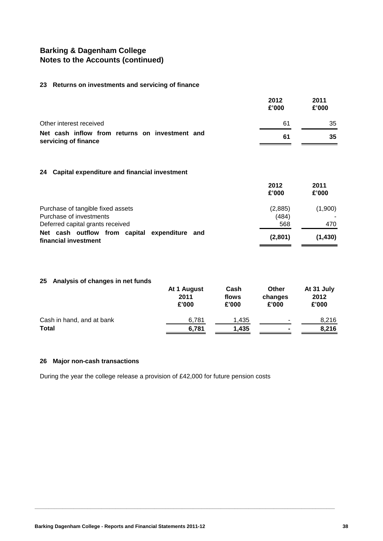#### **23 Returns on investments and servicing of finance**

|                                                                        | 2012<br>£'000 | 2011<br>£'000 |
|------------------------------------------------------------------------|---------------|---------------|
| Other interest received                                                | 61            | 35            |
| Net cash inflow from returns on investment and<br>servicing of finance | 61            | 35            |

#### **24 Capital expenditure and financial investment**

|                                                                       | 2012<br>£'000 | 2011<br>£'000 |
|-----------------------------------------------------------------------|---------------|---------------|
| Purchase of tangible fixed assets                                     | (2,885)       | (1,900)       |
| Purchase of investments                                               | (484)         |               |
| Deferred capital grants received                                      | 568           | 470           |
| Net cash outflow from capital expenditure and<br>financial investment | (2,801)       | (1, 430)      |

### **25 Analysis of changes in net funds**

|                           | At 1 August<br>2011<br>£'000 | Cash<br>flows<br>£'000 | Other<br>changes<br>£'000 | At 31 July<br>2012<br>£'000 |
|---------------------------|------------------------------|------------------------|---------------------------|-----------------------------|
| Cash in hand, and at bank | 6.781                        | 1.435                  | ۰                         | 8.216                       |
| <b>Total</b>              | 6,781                        | 1.435                  | $\blacksquare$            | 8,216                       |

**\_\_\_\_\_\_\_\_\_\_\_\_\_\_\_\_\_\_\_\_\_\_\_\_\_\_\_\_\_\_\_\_\_\_\_\_\_\_\_\_\_\_\_\_\_\_\_\_\_\_\_\_\_\_\_\_\_\_\_\_\_\_\_\_\_\_\_\_\_\_\_\_\_\_\_\_\_\_\_\_\_\_\_\_\_\_\_\_\_\_\_\_\_\_\_\_\_\_\_\_\_\_\_\_\_\_\_\_**

#### **26 Major non-cash transactions**

During the year the college release a provision of £42,000 for future pension costs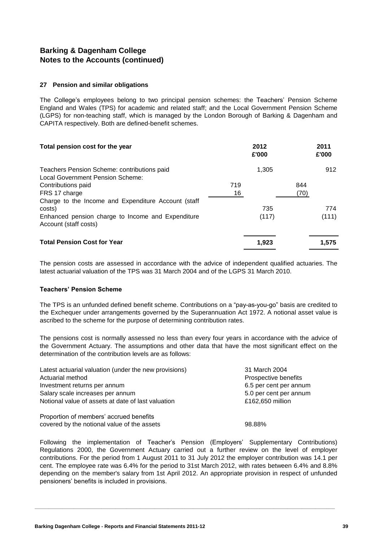#### **27 Pension and similar obligations**

The College's employees belong to two principal pension schemes: the Teachers' Pension Scheme England and Wales (TPS) for academic and related staff; and the Local Government Pension Scheme (LGPS) for non-teaching staff, which is managed by the London Borough of Barking & Dagenham and CAPITA respectively. Both are defined-benefit schemes.

| Total pension cost for the year                                                 |     | 2012<br>£'000 |      | 2011<br>£'000 |
|---------------------------------------------------------------------------------|-----|---------------|------|---------------|
| Teachers Pension Scheme: contributions paid<br>Local Government Pension Scheme: |     | 1,305         |      | 912           |
| Contributions paid                                                              | 719 |               | 844  |               |
| FRS 17 charge                                                                   | 16  |               | (70) |               |
| Charge to the Income and Expenditure Account (staff                             |     |               |      |               |
| costs)                                                                          |     | 735           |      | 774           |
| Enhanced pension charge to Income and Expenditure<br>Account (staff costs)      |     | (117)         |      | (111)         |
| <b>Total Pension Cost for Year</b>                                              |     | 1.923         |      | 1.575         |

The pension costs are assessed in accordance with the advice of independent qualified actuaries. The latest actuarial valuation of the TPS was 31 March 2004 and of the LGPS 31 March 2010.

#### **Teachers' Pension Scheme**

The TPS is an unfunded defined benefit scheme. Contributions on a "pay-as-you-go" basis are credited to the Exchequer under arrangements governed by the Superannuation Act 1972. A notional asset value is ascribed to the scheme for the purpose of determining contribution rates.

The pensions cost is normally assessed no less than every four years in accordance with the advice of the Government Actuary. The assumptions and other data that have the most significant effect on the determination of the contribution levels are as follows:

| Latest actuarial valuation (under the new provisions) | 31 March 2004          |
|-------------------------------------------------------|------------------------|
| Actuarial method                                      | Prospective benefits   |
| Investment returns per annum                          | 6.5 per cent per annum |
| Salary scale increases per annum                      | 5.0 per cent per annum |
| Notional value of assets at date of last valuation    | £162,650 million       |
| Proportion of members' accrued benefits               |                        |
| covered by the notional value of the assets           | 98.88%                 |

Following the implementation of Teacher's Pension (Employers' Supplementary Contributions) Regulations 2000, the Government Actuary carried out a further review on the level of employer contributions. For the period from 1 August 2011 to 31 July 2012 the employer contribution was 14.1 per cent. The employee rate was 6.4% for the period to 31st March 2012, with rates between 6.4% and 8.8% depending on the member's salary from 1st April 2012. An appropriate provision in respect of unfunded pensioners' benefits is included in provisions.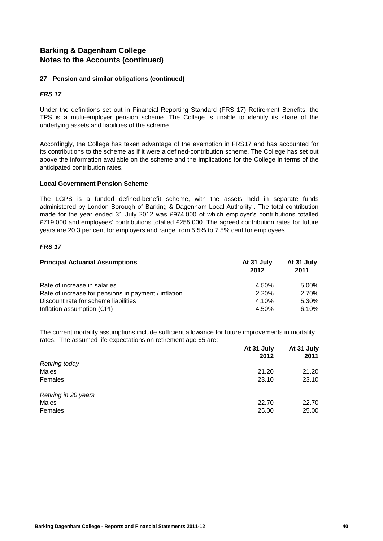### **27 Pension and similar obligations (continued)**

### *FRS 17*

Under the definitions set out in Financial Reporting Standard (FRS 17) Retirement Benefits, the TPS is a multi-employer pension scheme. The College is unable to identify its share of the underlying assets and liabilities of the scheme.

Accordingly, the College has taken advantage of the exemption in FRS17 and has accounted for its contributions to the scheme as if it were a defined-contribution scheme. The College has set out above the information available on the scheme and the implications for the College in terms of the anticipated contribution rates.

#### **Local Government Pension Scheme**

The LGPS is a funded defined-benefit scheme, with the assets held in separate funds administered by London Borough of Barking & Dagenham Local Authority . The total contribution made for the year ended 31 July 2012 was £974,000 of which employer's contributions totalled £719,000 and employees' contributions totalled £255,000. The agreed contribution rates for future years are 20.3 per cent for employers and range from 5.5% to 7.5% cent for employees.

### *FRS 17*

| <b>Principal Actuarial Assumptions</b>               | At 31 July<br>2012 | At 31 July<br>2011 |
|------------------------------------------------------|--------------------|--------------------|
| Rate of increase in salaries                         | 4.50%              | 5.00%              |
| Rate of increase for pensions in payment / inflation | 2.20%              | 2.70%              |
| Discount rate for scheme liabilities                 | 4.10%              | 5.30%              |
| Inflation assumption (CPI)                           | 4.50%              | 6.10%              |

The current mortality assumptions include sufficient allowance for future improvements in mortality rates. The assumed life expectations on retirement age 65 are:

|                       | At 31 July<br>2012 | At 31 July<br>2011 |
|-----------------------|--------------------|--------------------|
| <b>Retiring today</b> |                    |                    |
| Males                 | 21.20              | 21.20              |
| Females               | 23.10              | 23.10              |
| Retiring in 20 years  |                    |                    |
| Males                 | 22.70              | 22.70              |
| Females               | 25.00              | 25.00              |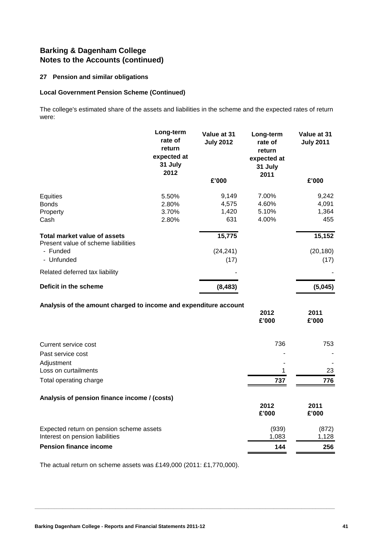### **27 Pension and similar obligations**

#### **Local Government Pension Scheme (Continued)**

The college's estimated share of the assets and liabilities in the scheme and the expected rates of return were:

|                                                                             | Long-term<br>rate of<br>return<br>expected at<br>31 July<br>2012 | Value at 31<br><b>July 2012</b> | Long-term<br>rate of<br>return<br>expected at<br>31 July<br>2011 | Value at 31<br><b>July 2011</b> |
|-----------------------------------------------------------------------------|------------------------------------------------------------------|---------------------------------|------------------------------------------------------------------|---------------------------------|
|                                                                             |                                                                  | £'000                           |                                                                  | £'000                           |
| Equities                                                                    | 5.50%                                                            | 9,149                           | 7.00%                                                            | 9,242                           |
| <b>Bonds</b>                                                                | 2.80%                                                            | 4,575                           | 4.60%                                                            | 4,091                           |
| Property<br>Cash                                                            | 3.70%<br>2.80%                                                   | 1,420<br>631                    | 5.10%<br>4.00%                                                   | 1,364<br>455                    |
| <b>Total market value of assets</b><br>Present value of scheme liabilities  |                                                                  | 15,775                          |                                                                  | 15,152                          |
| - Funded                                                                    |                                                                  | (24, 241)                       |                                                                  | (20, 180)                       |
| - Unfunded                                                                  |                                                                  | (17)                            |                                                                  | (17)                            |
| Related deferred tax liability                                              |                                                                  |                                 |                                                                  |                                 |
| Deficit in the scheme                                                       |                                                                  | (8, 483)                        |                                                                  | (5,045)                         |
| Analysis of the amount charged to income and expenditure account            |                                                                  |                                 |                                                                  |                                 |
|                                                                             |                                                                  |                                 | 2012<br>£'000                                                    | 2011<br>£'000                   |
| Current service cost                                                        |                                                                  |                                 | 736                                                              | 753                             |
| Past service cost                                                           |                                                                  |                                 |                                                                  |                                 |
| Adjustment                                                                  |                                                                  |                                 |                                                                  |                                 |
| Loss on curtailments                                                        |                                                                  |                                 | 1                                                                | 23                              |
| Total operating charge                                                      |                                                                  |                                 | 737                                                              | 776                             |
| Analysis of pension finance income / (costs)                                |                                                                  |                                 |                                                                  |                                 |
|                                                                             |                                                                  |                                 | 2012<br>£'000                                                    | 2011<br>£'000                   |
| Expected return on pension scheme assets<br>Interest on pension liabilities |                                                                  |                                 | (939)<br>1,083                                                   | (872)<br>1,128                  |
| <b>Pension finance income</b>                                               |                                                                  |                                 | 144                                                              | 256                             |

**\_\_\_\_\_\_\_\_\_\_\_\_\_\_\_\_\_\_\_\_\_\_\_\_\_\_\_\_\_\_\_\_\_\_\_\_\_\_\_\_\_\_\_\_\_\_\_\_\_\_\_\_\_\_\_\_\_\_\_\_\_\_\_\_\_\_\_\_\_\_\_\_\_\_\_\_\_\_\_\_\_\_\_\_\_\_\_\_\_\_\_\_\_\_\_\_\_\_\_\_\_\_\_\_\_\_\_\_**

The actual return on scheme assets was £149,000 (2011: £1,770,000).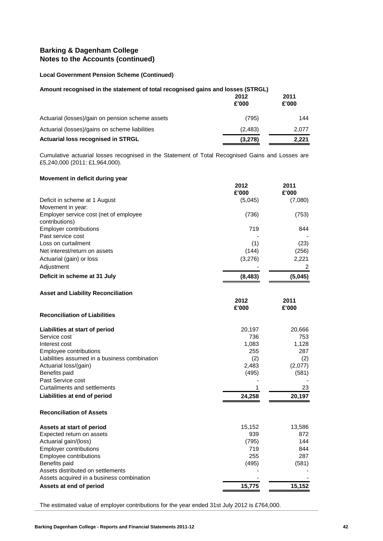### **Local Government Pension Scheme (Continued)**

| Amount recognised in the statement of total recognised gains and losses (STRGL) |               |               |
|---------------------------------------------------------------------------------|---------------|---------------|
|                                                                                 | 2012<br>£'000 | 2011<br>£'000 |
| Actuarial (losses)/gain on pension scheme assets                                | (795)         | 144           |
| Actuarial (losses)/gains on scheme liabilities                                  | (2, 483)      | 2,077         |
| <b>Actuarial loss recognised in STRGL</b>                                       | (3,278)       | 2.221         |

Cumulative actuarial losses recognised in the Statement of Total Recognised Gains and Losses are £5,240,000 (2011: £1,964,000).

#### **Movement in deficit during year**

|                                                    | 2012     | 2011    |
|----------------------------------------------------|----------|---------|
|                                                    | £'000    | £'000   |
| Deficit in scheme at 1 August<br>Movement in year: | (5,045)  | (7,080) |
| Employer service cost (net of employee             | (736)    | (753)   |
| contributions)                                     |          |         |
| <b>Employer contributions</b>                      | 719      | 844     |
| Past service cost                                  |          |         |
| Loss on curtailment                                | (1)      | (23)    |
| Net interest/return on assets                      | (144)    | (256)   |
| Actuarial (gain) or loss                           | (3,276)  | 2,221   |
| Adjustment                                         |          | 2       |
| Deficit in scheme at 31 July                       | (8, 483) | (5,045) |
|                                                    |          |         |
| <b>Asset and Liability Reconciliation</b>          |          |         |
|                                                    | 2012     | 2011    |
|                                                    | £'000    | £'000   |
| <b>Reconciliation of Liabilities</b>               |          |         |
| Liabilities at start of period                     | 20,197   | 20,666  |
| Service cost                                       | 736      | 753     |
| Interest cost                                      | 1,083    | 1,128   |
| Employee contributions                             | 255      | 287     |
| Liabilities assumed in a business combination      | (2)      | (2)     |
| Actuarial loss/(gain)                              | 2,483    | (2,077) |
| Benefits paid<br>Past Service cost                 | (495)    | (581)   |
| Curtailments and settlements                       | 1        | 23      |
|                                                    |          |         |
| Liabilities at end of period                       | 24,258   | 20,197  |
| <b>Reconciliation of Assets</b>                    |          |         |
| Assets at start of period                          | 15,152   | 13,586  |
| Expected return on assets                          | 939      | 872     |
| Actuarial gain/(loss)                              | (795)    | 144     |
| <b>Employer contributions</b>                      | 719      | 844     |
| Employee contributions                             | 255      | 287     |
| Benefits paid                                      | (495)    | (581)   |
| Assets distributed on settlements                  |          |         |
| Assets acquired in a business combination          |          |         |
| Assets at end of period                            | 15,775   | 15,152  |

The estimated value of employer contributions for the year ended 31st July 2012 is £764,000.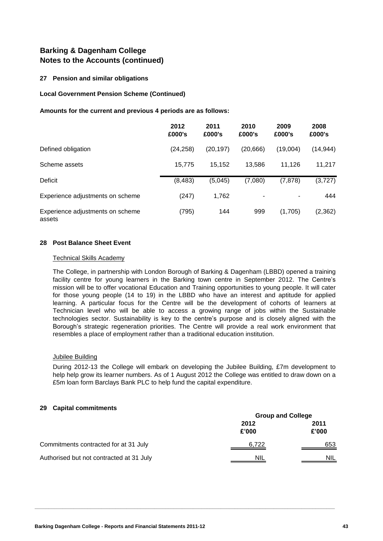### **27 Pension and similar obligations**

#### **Local Government Pension Scheme (Continued)**

#### **Amounts for the current and previous 4 periods are as follows:**

|                                            | 2012<br>£000's | 2011<br>£000's | 2010<br>£000's           | 2009<br>£000's | 2008<br>£000's |
|--------------------------------------------|----------------|----------------|--------------------------|----------------|----------------|
| Defined obligation                         | (24, 258)      | (20, 197)      | (20,666)                 | (19,004)       | (14, 944)      |
| Scheme assets                              | 15,775         | 15,152         | 13,586                   | 11.126         | 11,217         |
| Deficit                                    | (8, 483)       | (5,045)        | (7,080)                  | (7, 878)       | (3,727)        |
| Experience adjustments on scheme           | (247)          | 1,762          | $\overline{\phantom{a}}$ | -              | 444            |
| Experience adjustments on scheme<br>assets | (795)          | 144            | 999                      | (1,705)        | (2, 362)       |

#### **28 Post Balance Sheet Event**

#### Technical Skills Academy

The College, in partnership with London Borough of Barking & Dagenham (LBBD) opened a training facility centre for young learners in the Barking town centre in September 2012. The Centre's mission will be to offer vocational Education and Training opportunities to young people. It will cater for those young people (14 to 19) in the LBBD who have an interest and aptitude for applied learning. A particular focus for the Centre will be the development of cohorts of learners at Technician level who will be able to access a growing range of jobs within the Sustainable technologies sector. Sustainability is key to the centre's purpose and is closely aligned with the Borough's strategic regeneration priorities. The Centre will provide a real work environment that resembles a place of employment rather than a traditional education institution.

#### Jubilee Building

During 2012-13 the College will embark on developing the Jubilee Building, £7m development to help help grow its learner numbers. As of 1 August 2012 the College was entitled to draw down on a £5m loan form Barclays Bank PLC to help fund the capital expenditure.

#### **29 Capital commitments**

|                                          | <b>Group and College</b> |               |  |
|------------------------------------------|--------------------------|---------------|--|
|                                          | 2012<br>£'000            | 2011<br>£'000 |  |
| Commitments contracted for at 31 July    | 6,722                    | 653           |  |
| Authorised but not contracted at 31 July | <b>NIL</b>               | <b>NIL</b>    |  |